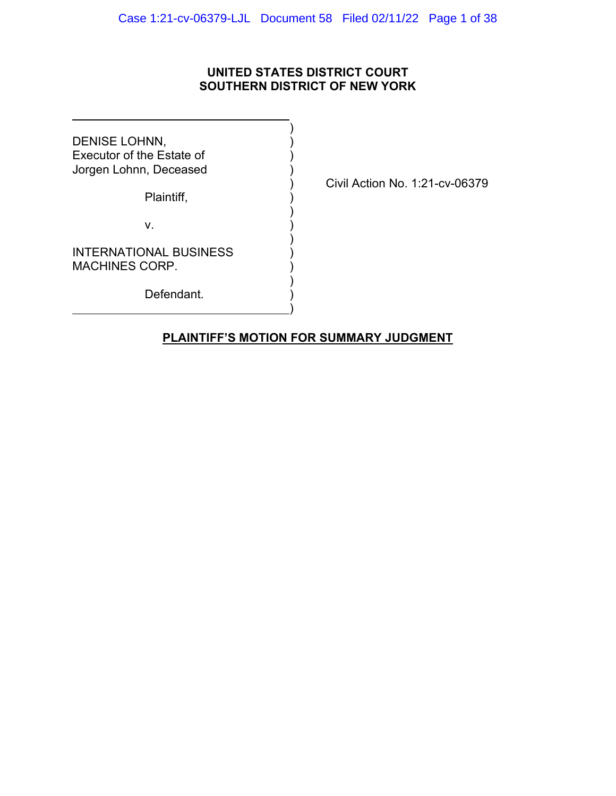## **UNITED STATES DISTRICT COURT SOUTHERN DISTRICT OF NEW YORK**

)

)

)

)

)

DENISE LOHNN, Executor of the Estate of ) Jorgen Lohnn, Deceased )

Plaintiff,

v. )

INTERNATIONAL BUSINESS MACHINES CORP.

Defendant.

) Civil Action No. 1:21-cv-06379

## **PLAINTIFF'S MOTION FOR SUMMARY JUDGMENT**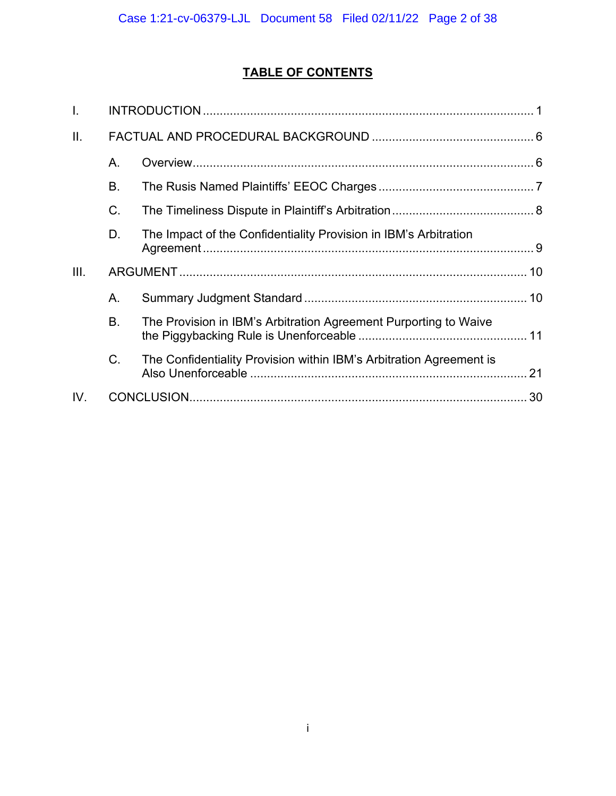# **TABLE OF CONTENTS**

| I.   |    |                                                                     |  |
|------|----|---------------------------------------------------------------------|--|
| ΙΙ.  |    |                                                                     |  |
|      | Α. |                                                                     |  |
|      | Β. |                                                                     |  |
|      | C. |                                                                     |  |
|      | D. | The Impact of the Confidentiality Provision in IBM's Arbitration    |  |
|      |    |                                                                     |  |
| III. |    |                                                                     |  |
|      | А. |                                                                     |  |
|      | B. | The Provision in IBM's Arbitration Agreement Purporting to Waive    |  |
|      | C. | The Confidentiality Provision within IBM's Arbitration Agreement is |  |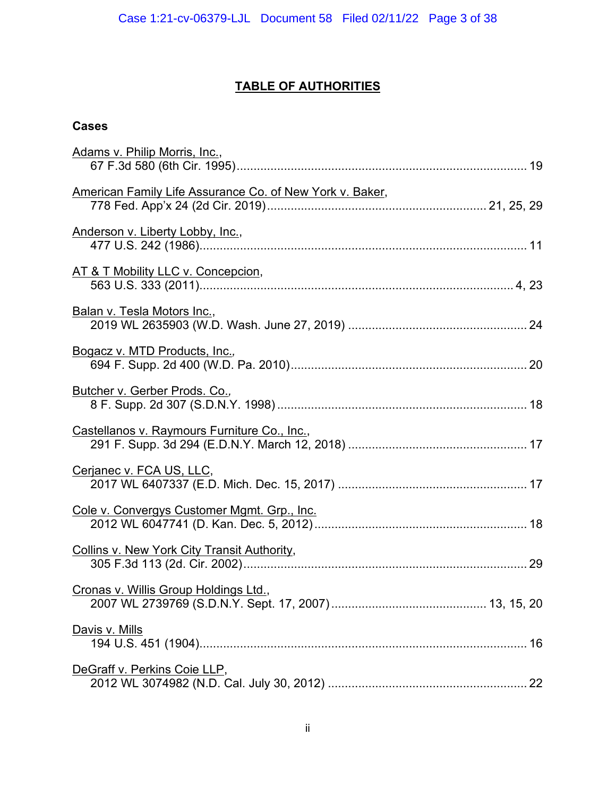## **TABLE OF AUTHORITIES**

## **Cases**

| Adams v. Philip Morris, Inc.,                            |  |
|----------------------------------------------------------|--|
| American Family Life Assurance Co. of New York v. Baker, |  |
| Anderson v. Liberty Lobby, Inc.,                         |  |
| AT & T Mobility LLC v. Concepcion,                       |  |
| Balan v. Tesla Motors Inc.,                              |  |
| <b>Bogacz v. MTD Products, Inc.,</b>                     |  |
| Butcher v. Gerber Prods. Co.,                            |  |
| Castellanos v. Raymours Furniture Co., Inc.,             |  |
| Cerjanec v. FCA US, LLC,                                 |  |
| Cole v. Convergys Customer Mgmt. Grp., Inc.              |  |
| Collins v. New York City Transit Authority,              |  |
| Cronas v. Willis Group Holdings Ltd.,                    |  |
| <u>Davis v. Mills</u>                                    |  |
| DeGraff v. Perkins Coie LLP,                             |  |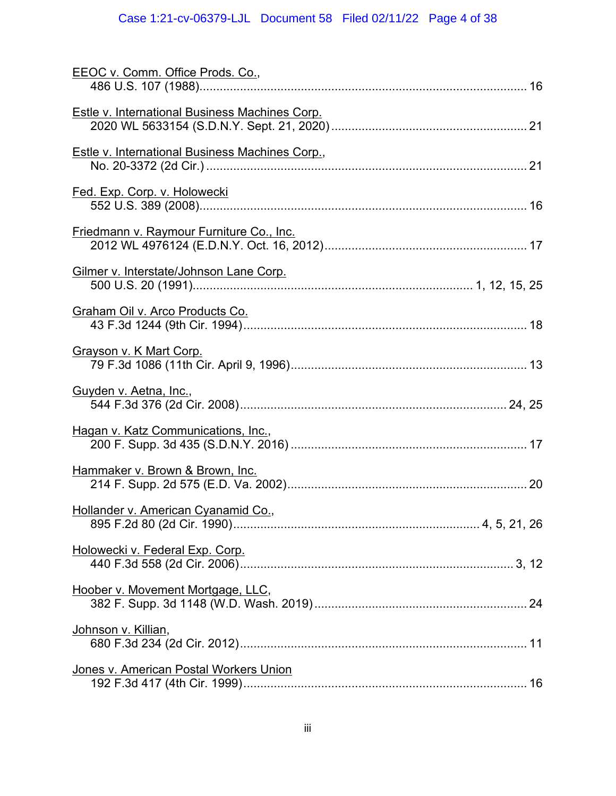# Case 1:21-cv-06379-LJL Document 58 Filed 02/11/22 Page 4 of 38

| EEOC v. Comm. Office Prods. Co.,                |  |
|-------------------------------------------------|--|
| Estle v. International Business Machines Corp.  |  |
|                                                 |  |
| Estle v. International Business Machines Corp., |  |
| Fed. Exp. Corp. v. Holowecki                    |  |
| <b>Friedmann v. Raymour Furniture Co., Inc.</b> |  |
| Gilmer v. Interstate/Johnson Lane Corp.         |  |
| Graham Oil v. Arco Products Co.                 |  |
| Grayson v. K Mart Corp.                         |  |
| <b>Guyden v. Aetna, Inc.,</b>                   |  |
| Hagan v. Katz Communications, Inc.,             |  |
| Hammaker v. Brown & Brown, Inc.                 |  |
| Hollander v. American Cyanamid Co.,             |  |
| Holowecki v. Federal Exp. Corp.                 |  |
| Hoober v. Movement Mortgage, LLC,               |  |
| <u>Johnson v. Killian,</u>                      |  |
| Jones v. American Postal Workers Union          |  |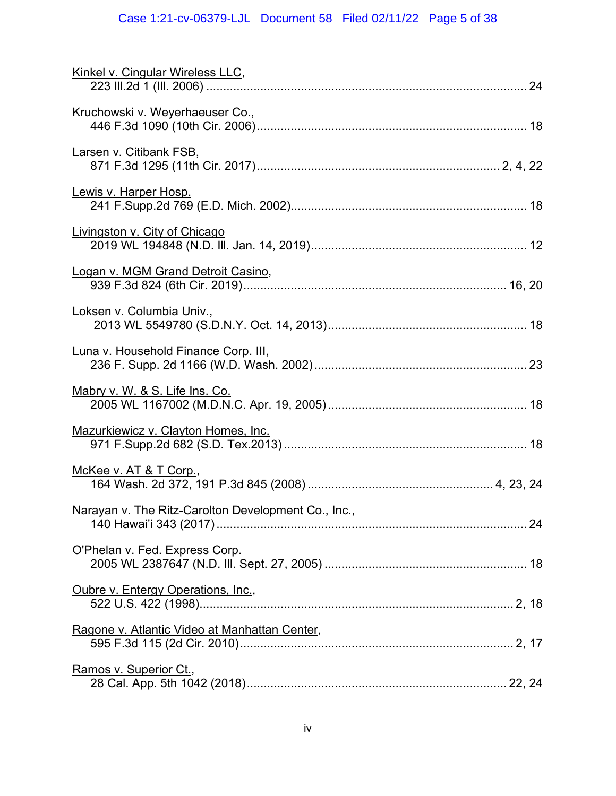# Case 1:21-cv-06379-LJL Document 58 Filed 02/11/22 Page 5 of 38

| Kinkel v. Cingular Wireless LLC,                    |  |
|-----------------------------------------------------|--|
| Kruchowski v. Weyerhaeuser Co.,                     |  |
| Larsen v. Citibank FSB,                             |  |
| Lewis v. Harper Hosp.                               |  |
| Livingston v. City of Chicago                       |  |
| Logan v. MGM Grand Detroit Casino,                  |  |
| Loksen v. Columbia Univ.,                           |  |
| Luna v. Household Finance Corp. III,                |  |
| Mabry v. W. & S. Life Ins. Co.                      |  |
| Mazurkiewicz v. Clayton Homes, Inc.                 |  |
| McKee v. AT & T Corp.,                              |  |
| Narayan v. The Ritz-Carolton Development Co., Inc., |  |
| O'Phelan v. Fed. Express Corp.                      |  |
| Oubre v. Entergy Operations, Inc.,                  |  |
| Ragone v. Atlantic Video at Manhattan Center,       |  |
| Ramos v. Superior Ct.,                              |  |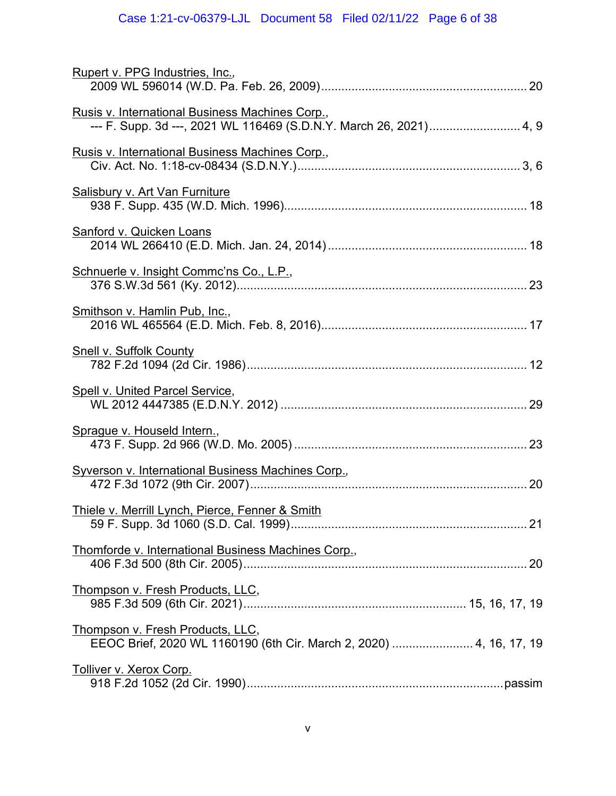# Case 1:21-cv-06379-LJL Document 58 Filed 02/11/22 Page 6 of 38

| Rupert v. PPG Industries, Inc.,                                                                                       |  |
|-----------------------------------------------------------------------------------------------------------------------|--|
| Rusis v. International Business Machines Corp.,<br>--- F. Supp. 3d ---, 2021 WL 116469 (S.D.N.Y. March 26, 2021) 4, 9 |  |
| Rusis v. International Business Machines Corp.,                                                                       |  |
| <b>Salisbury v. Art Van Furniture</b>                                                                                 |  |
| Sanford v. Quicken Loans                                                                                              |  |
| Schnuerle v. Insight Commc'ns Co., L.P.,                                                                              |  |
| Smithson v. Hamlin Pub, Inc.,                                                                                         |  |
| <b>Snell v. Suffolk County</b>                                                                                        |  |
| Spell v. United Parcel Service,                                                                                       |  |
| Sprague v. Houseld Intern.,                                                                                           |  |
| <b>Syverson v. International Business Machines Corp.,</b>                                                             |  |
| Thiele v. Merrill Lynch, Pierce, Fenner & Smith                                                                       |  |
| Thomforde v. International Business Machines Corp.,                                                                   |  |
| Thompson v. Fresh Products, LLC,                                                                                      |  |
| <u>Thompson v. Fresh Products, LLC,</u><br>EEOC Brief, 2020 WL 1160190 (6th Cir. March 2, 2020)  4, 16, 17, 19        |  |
| Tolliver v. Xerox Corp.                                                                                               |  |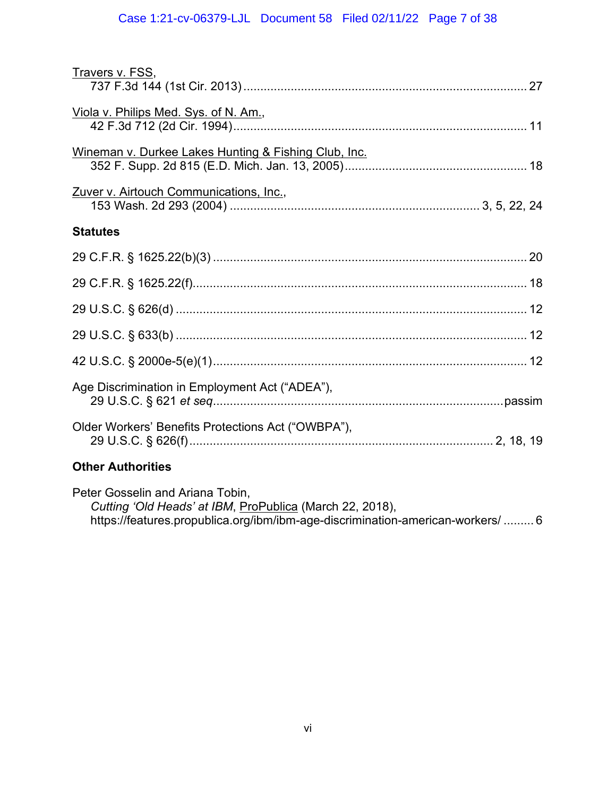| Travers v. FSS,                                      |  |
|------------------------------------------------------|--|
| Viola v. Philips Med. Sys. of N. Am.,                |  |
| Wineman v. Durkee Lakes Hunting & Fishing Club, Inc. |  |
| Zuver v. Airtouch Communications, Inc.,              |  |
| <b>Statutes</b>                                      |  |
|                                                      |  |
|                                                      |  |
|                                                      |  |
|                                                      |  |
|                                                      |  |
| Age Discrimination in Employment Act ("ADEA"),       |  |
| Older Workers' Benefits Protections Act ("OWBPA"),   |  |
| <b>Other Authorities</b>                             |  |

Peter Gosselin and Ariana Tobin, *Cutting 'Old Heads' at IBM*, ProPublica (March 22, 2018), https://features.propublica.org/ibm/ibm-age-discrimination-american-workers/ ......... 6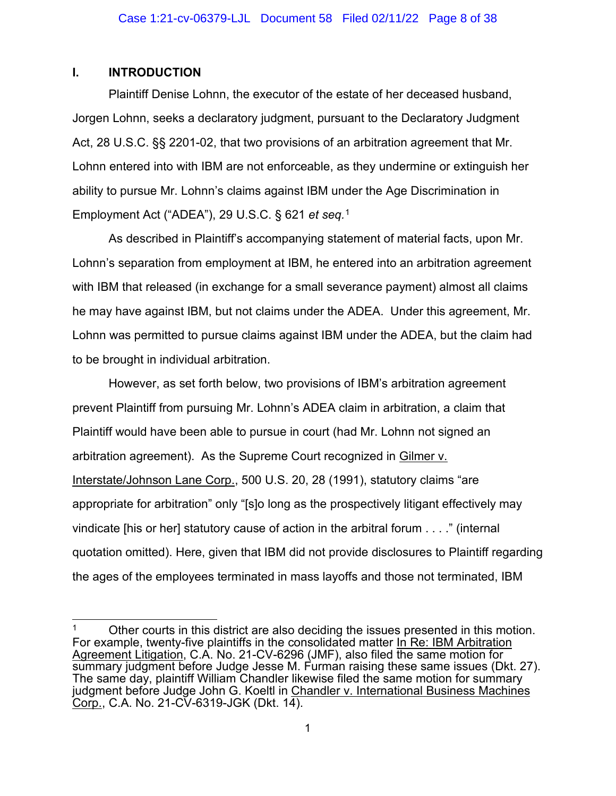#### <span id="page-7-0"></span>**I. INTRODUCTION**

Plaintiff Denise Lohnn, the executor of the estate of her deceased husband, Jorgen Lohnn, seeks a declaratory judgment, pursuant to the Declaratory Judgment Act, 28 U.S.C. §§ 2201-02, that two provisions of an arbitration agreement that Mr. Lohnn entered into with IBM are not enforceable, as they undermine or extinguish her ability to pursue Mr. Lohnn's claims against IBM under the Age Discrimination in Employment Act ("ADEA"), 29 U.S.C. § 621 *et seq.* [1](#page-7-1)

As described in Plaintiff's accompanying statement of material facts, upon Mr. Lohnn's separation from employment at IBM, he entered into an arbitration agreement with IBM that released (in exchange for a small severance payment) almost all claims he may have against IBM, but not claims under the ADEA. Under this agreement, Mr. Lohnn was permitted to pursue claims against IBM under the ADEA, but the claim had to be brought in individual arbitration.

However, as set forth below, two provisions of IBM's arbitration agreement prevent Plaintiff from pursuing Mr. Lohnn's ADEA claim in arbitration, a claim that Plaintiff would have been able to pursue in court (had Mr. Lohnn not signed an arbitration agreement). As the Supreme Court recognized in Gilmer v. Interstate/Johnson Lane Corp., 500 U.S. 20, 28 (1991), statutory claims "are appropriate for arbitration" only "[s]o long as the prospectively litigant effectively may vindicate [his or her] statutory cause of action in the arbitral forum . . . ." (internal quotation omitted). Here, given that IBM did not provide disclosures to Plaintiff regarding the ages of the employees terminated in mass layoffs and those not terminated, IBM

<span id="page-7-1"></span><sup>&</sup>lt;sup>1</sup> Other courts in this district are also deciding the issues presented in this motion. For example, twenty-five plaintiffs in the consolidated matter In Re: IBM Arbitration Agreement Litigation, C.A. No. 21-CV-6296 (JMF), also filed the same motion for summary judgment before Judge Jesse M. Furman raising these same issues (Dkt. 27). The same day, plaintiff William Chandler likewise filed the same motion for summary judgment before Judge John G. Koeltl in Chandler v. International Business Machines  $Corp., C.A.$  No. 21-CV-6319-JGK (Dkt. 14).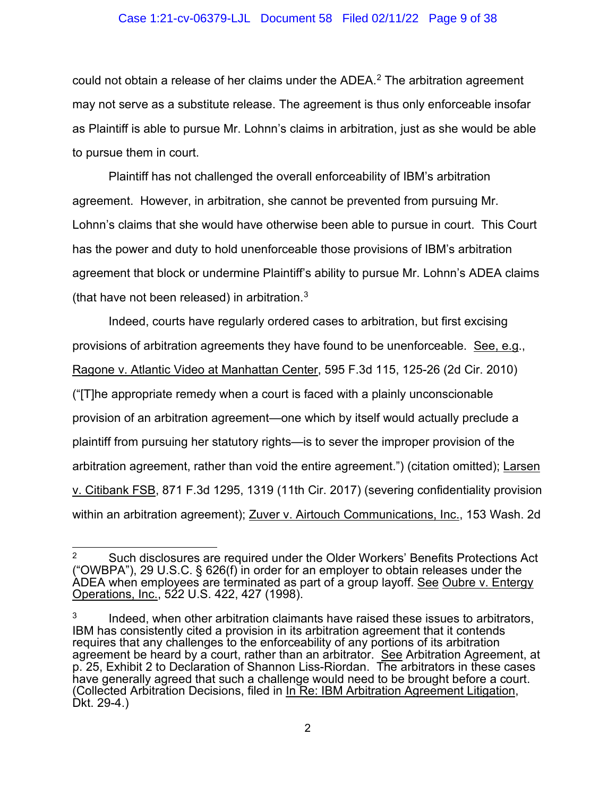#### Case 1:21-cv-06379-LJL Document 58 Filed 02/11/22 Page 9 of 38

could not obtain a release of her claims under the ADEA.<sup>[2](#page-8-0)</sup> The arbitration agreement may not serve as a substitute release. The agreement is thus only enforceable insofar as Plaintiff is able to pursue Mr. Lohnn's claims in arbitration, just as she would be able to pursue them in court.

Plaintiff has not challenged the overall enforceability of IBM's arbitration agreement. However, in arbitration, she cannot be prevented from pursuing Mr. Lohnn's claims that she would have otherwise been able to pursue in court. This Court has the power and duty to hold unenforceable those provisions of IBM's arbitration agreement that block or undermine Plaintiff's ability to pursue Mr. Lohnn's ADEA claims (that have not been released) in arbitration. $3$ 

Indeed, courts have regularly ordered cases to arbitration, but first excising provisions of arbitration agreements they have found to be unenforceable. See, e.g., Ragone v. Atlantic Video at Manhattan Center, 595 F.3d 115, 125-26 (2d Cir. 2010) ("[T]he appropriate remedy when a court is faced with a plainly unconscionable provision of an arbitration agreement—one which by itself would actually preclude a plaintiff from pursuing her statutory rights—is to sever the improper provision of the arbitration agreement, rather than void the entire agreement.") (citation omitted); Larsen v. Citibank FSB, 871 F.3d 1295, 1319 (11th Cir. 2017) (severing confidentiality provision within an arbitration agreement); Zuver v. Airtouch Communications, Inc., 153 Wash. 2d

<span id="page-8-0"></span><sup>&</sup>lt;sup>2</sup> Such disclosures are required under the Older Workers' Benefits Protections Act ("OWBPA"), 29 U.S.C. § 626(f) in order for an employer to obtain releases under the ADEA when employees are terminated as part of a group layoff. See Oubre v. Entergy Operations, Inc., 522 U.S. 422, 427 (1998).

<span id="page-8-1"></span> $3$  Indeed, when other arbitration claimants have raised these issues to arbitrators, IBM has consistently cited a provision in its arbitration agreement that it contends requires that any challenges to the enforceability of any portions of its arbitration agreement be heard by a court, rather than an arbitrator. See Arbitration Agreement, at p. 25, Exhibit 2 to Declaration of Shannon Liss-Riordan. The arbitrators in these cases have generally agreed that such a challenge would need to be brought before a court. (Collected Arbitration Decisions, filed in <u>In Re: IBM Arbitration Agreement Litigation</u>,<br>Dkt. 29-4.)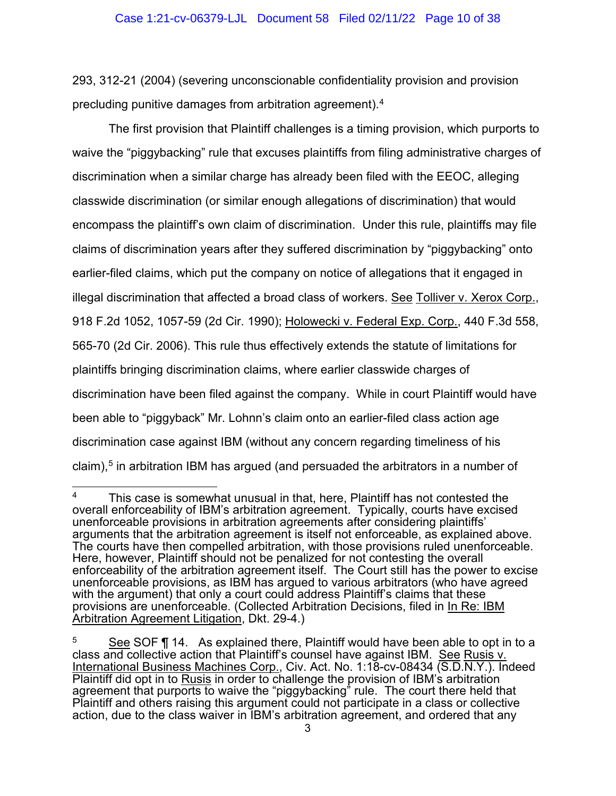293, 312-21 (2004) (severing unconscionable confidentiality provision and provision precluding punitive damages from arbitration agreement).[4](#page-9-0)

The first provision that Plaintiff challenges is a timing provision, which purports to waive the "piggybacking" rule that excuses plaintiffs from filing administrative charges of discrimination when a similar charge has already been filed with the EEOC, alleging classwide discrimination (or similar enough allegations of discrimination) that would encompass the plaintiff's own claim of discrimination. Under this rule, plaintiffs may file claims of discrimination years after they suffered discrimination by "piggybacking" onto earlier-filed claims, which put the company on notice of allegations that it engaged in illegal discrimination that affected a broad class of workers. See Tolliver v. Xerox Corp., 918 F.2d 1052, 1057-59 (2d Cir. 1990); Holowecki v. Federal Exp. Corp., 440 F.3d 558, 565-70 (2d Cir. 2006). This rule thus effectively extends the statute of limitations for plaintiffs bringing discrimination claims, where earlier classwide charges of discrimination have been filed against the company. While in court Plaintiff would have been able to "piggyback" Mr. Lohnn's claim onto an earlier-filed class action age discrimination case against IBM (without any concern regarding timeliness of his claim), $5$  in arbitration IBM has argued (and persuaded the arbitrators in a number of

<span id="page-9-0"></span><sup>&</sup>lt;sup>4</sup> This case is somewhat unusual in that, here, Plaintiff has not contested the overall enforceability of IBM's arbitration agreement. Typically, courts have excised unenforceable provisions in arbitration agreements after considering plaintiffs' arguments that the arbitration agreement is itself not enforceable, as explained above. The courts have then compelled arbitration, with those provisions ruled unenforceable. Here, however, Plaintiff should not be penalized for not contesting the overall enforceability of the arbitration agreement itself. The Court still has the power to excise unenforceable provisions, as IBM has argued to various arbitrators (who have agreed with the argument) that only a court could address Plaintiff's claims that these provisions are unenforceable. (Collected Arbitration Decisions, filed in In Re: IBM Arbitration Agreement Litigation, Dkt. 29-4.)

<span id="page-9-1"></span> $5$  See SOF  $\P$  14. As explained there, Plaintiff would have been able to opt in to a class and collective action that Plaintiff's counsel have against IBM. See Rusis v. International Business Machines Corp., Civ. Act. No. 1:18-cv-08434 (S.D.N.Y.). Indeed Plaintiff did opt in to Rusis in order to challenge the provision of IBM's arbitration agreement that purports to waive the "piggybacking" rule. The court there held that Plaintiff and others raising this argument could not participate in a class or collective action, due to the class waiver in IBM's arbitration agreement, and ordered that any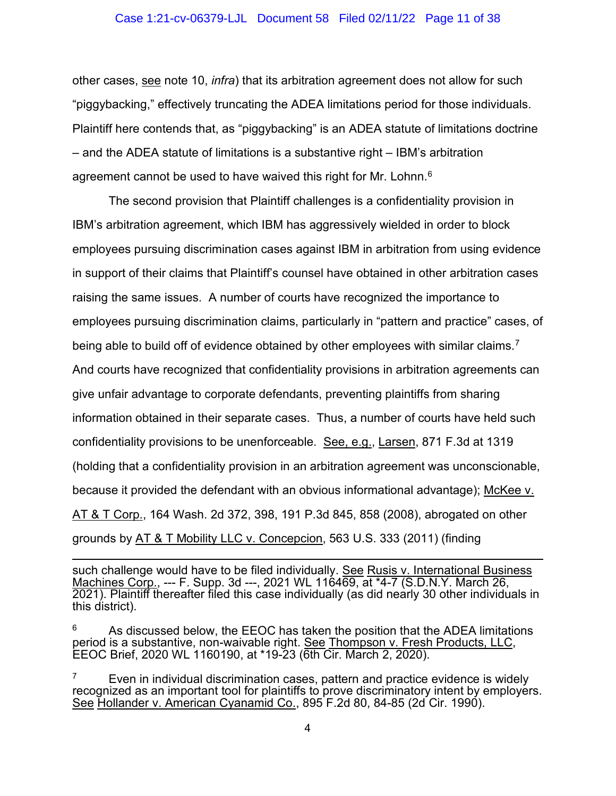#### Case 1:21-cv-06379-LJL Document 58 Filed 02/11/22 Page 11 of 38

other cases, see note 10, *infra*) that its arbitration agreement does not allow for such "piggybacking," effectively truncating the ADEA limitations period for those individuals. Plaintiff here contends that, as "piggybacking" is an ADEA statute of limitations doctrine – and the ADEA statute of limitations is a substantive right – IBM's arbitration agreement cannot be used to have waived this right for Mr. Lohnn. $^6\,$ 

The second provision that Plaintiff challenges is a confidentiality provision in IBM's arbitration agreement, which IBM has aggressively wielded in order to block employees pursuing discrimination cases against IBM in arbitration from using evidence in support of their claims that Plaintiff's counsel have obtained in other arbitration cases raising the same issues. A number of courts have recognized the importance to employees pursuing discrimination claims, particularly in "pattern and practice" cases, of being able to build off of evidence obtained by other employees with similar claims.[7](#page-10-1)  And courts have recognized that confidentiality provisions in arbitration agreements can give unfair advantage to corporate defendants, preventing plaintiffs from sharing information obtained in their separate cases. Thus, a number of courts have held such confidentiality provisions to be unenforceable. See, e.g., Larsen, 871 F.3d at 1319 (holding that a confidentiality provision in an arbitration agreement was unconscionable, because it provided the defendant with an obvious informational advantage); McKee v. AT & T Corp., 164 Wash. 2d 372, 398, 191 P.3d 845, 858 (2008), abrogated on other grounds by AT & T Mobility LLC v. Concepcion, 563 U.S. 333 (2011) (finding

such challenge would have to be filed individually. See Rusis v. International Business Machines Corp., --- F. Supp. 3d ---, 2021 WL 116469, at \*4-7 (S.D.N.Y. March 26, 2021). Plaintiff thereafter filed this case individually (as did nearly 30 other individuals in this district).

<span id="page-10-0"></span>As discussed below, the EEOC has taken the position that the ADEA limitations period is a substantive, non-waivable right. See Thompson v. Fresh Products, LLC, EEOC Brief, 2020 WL 1160190, at \*19-23 (6th Cir. March 2, 2020).

<span id="page-10-1"></span> $7$  Even in individual discrimination cases, pattern and practice evidence is widely recognized as an important tool for plaintiffs to prove discriminatory intent by employers. See Hollander v. American Cyanamid Co., 895 F.2d 80, 84-85 (2d Cir. 1990).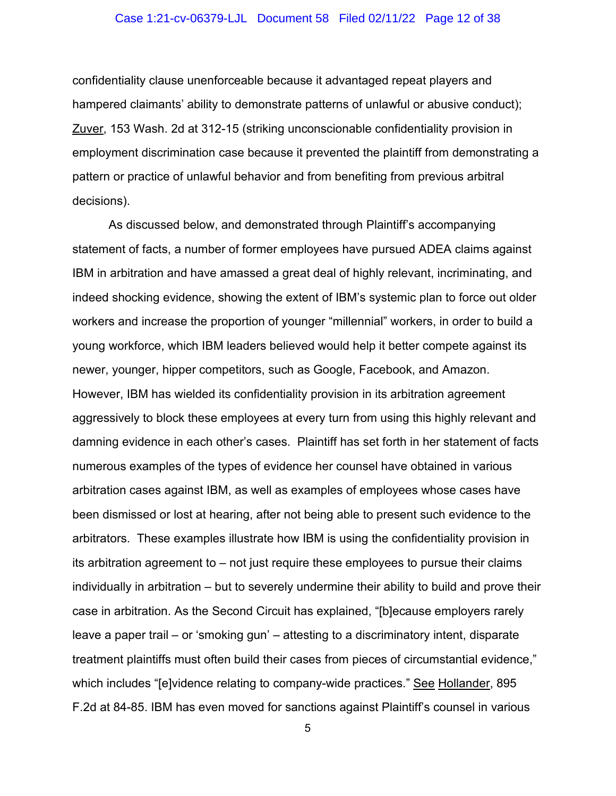#### Case 1:21-cv-06379-LJL Document 58 Filed 02/11/22 Page 12 of 38

confidentiality clause unenforceable because it advantaged repeat players and hampered claimants' ability to demonstrate patterns of unlawful or abusive conduct); Zuver, 153 Wash. 2d at 312-15 (striking unconscionable confidentiality provision in employment discrimination case because it prevented the plaintiff from demonstrating a pattern or practice of unlawful behavior and from benefiting from previous arbitral decisions).

As discussed below, and demonstrated through Plaintiff's accompanying statement of facts, a number of former employees have pursued ADEA claims against IBM in arbitration and have amassed a great deal of highly relevant, incriminating, and indeed shocking evidence, showing the extent of IBM's systemic plan to force out older workers and increase the proportion of younger "millennial" workers, in order to build a young workforce, which IBM leaders believed would help it better compete against its newer, younger, hipper competitors, such as Google, Facebook, and Amazon. However, IBM has wielded its confidentiality provision in its arbitration agreement aggressively to block these employees at every turn from using this highly relevant and damning evidence in each other's cases. Plaintiff has set forth in her statement of facts numerous examples of the types of evidence her counsel have obtained in various arbitration cases against IBM, as well as examples of employees whose cases have been dismissed or lost at hearing, after not being able to present such evidence to the arbitrators. These examples illustrate how IBM is using the confidentiality provision in its arbitration agreement to – not just require these employees to pursue their claims individually in arbitration – but to severely undermine their ability to build and prove their case in arbitration. As the Second Circuit has explained, "[b]ecause employers rarely leave a paper trail – or 'smoking gun' – attesting to a discriminatory intent, disparate treatment plaintiffs must often build their cases from pieces of circumstantial evidence," which includes "[e]vidence relating to company-wide practices." See Hollander, 895 F.2d at 84-85. IBM has even moved for sanctions against Plaintiff's counsel in various

5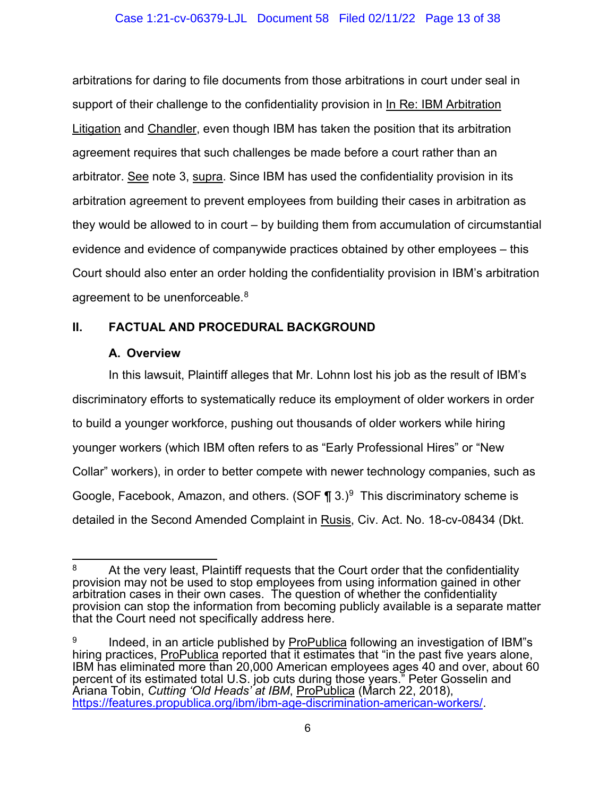#### Case 1:21-cv-06379-LJL Document 58 Filed 02/11/22 Page 13 of 38

arbitrations for daring to file documents from those arbitrations in court under seal in support of their challenge to the confidentiality provision in In Re: IBM Arbitration Litigation and Chandler, even though IBM has taken the position that its arbitration agreement requires that such challenges be made before a court rather than an arbitrator. See note 3, supra. Since IBM has used the confidentiality provision in its arbitration agreement to prevent employees from building their cases in arbitration as they would be allowed to in court – by building them from accumulation of circumstantial evidence and evidence of companywide practices obtained by other employees – this Court should also enter an order holding the confidentiality provision in IBM's arbitration agreement to be unenforceable.<sup>[8](#page-12-2)</sup>

### <span id="page-12-1"></span><span id="page-12-0"></span>**II. FACTUAL AND PROCEDURAL BACKGROUND**

### **A. Overview**

In this lawsuit, Plaintiff alleges that Mr. Lohnn lost his job as the result of IBM's discriminatory efforts to systematically reduce its employment of older workers in order to build a younger workforce, pushing out thousands of older workers while hiring younger workers (which IBM often refers to as "Early Professional Hires" or "New Collar" workers), in order to better compete with newer technology companies, such as Google, Facebook, Amazon, and others. (SOF  $\P$  3.)<sup>9</sup> This discriminatory scheme is detailed in the Second Amended Complaint in Rusis, Civ. Act. No. 18-cv-08434 (Dkt.

<span id="page-12-2"></span>At the very least, Plaintiff requests that the Court order that the confidentiality provision may not be used to stop employees from using information gained in other arbitration cases in their own cases. The question of whether the confidentiality provision can stop the information from becoming publicly available is a separate matter that the Court need not specifically address here.

<span id="page-12-3"></span><sup>9</sup> Indeed, in an article published by ProPublica following an investigation of IBM"s hiring practices, ProPublica reported that it estimates that "in the past five years alone, IBM has eliminated more than 20,000 American employees ages 40 and over, about 60 percent of its estimated total U.S. job cuts during those years." Peter Gosselin and Ariana Tobin, *Cutting 'Old Heads' at IBM*, ProPublica (March 22, 2018), [https://features.propublica.org/ibm/ibm-age-discrimination-american-workers/.](https://features.propublica.org/ibm/ibm-age-discrimination-american-workers/)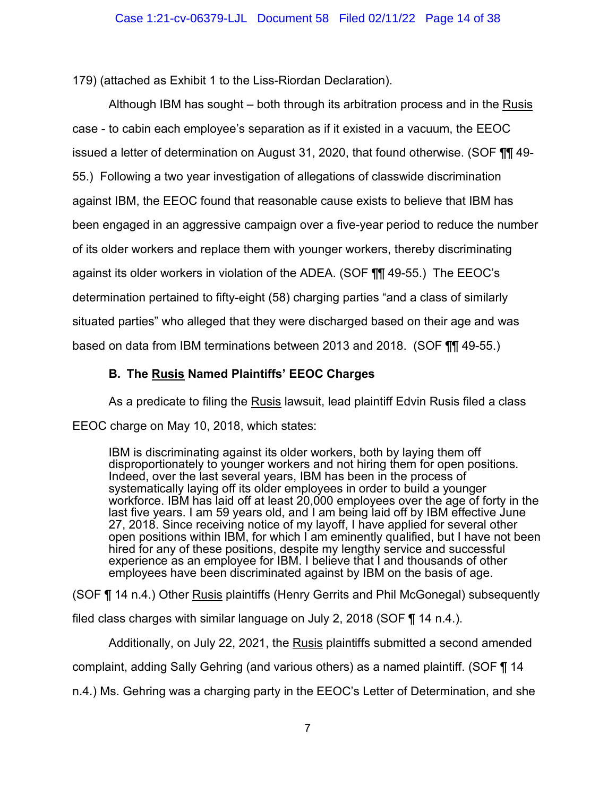179) (attached as Exhibit 1 to the Liss-Riordan Declaration).

Although IBM has sought – both through its arbitration process and in the Rusis case - to cabin each employee's separation as if it existed in a vacuum, the EEOC issued a letter of determination on August 31, 2020, that found otherwise. (SOF ¶¶ 49- 55.) Following a two year investigation of allegations of classwide discrimination against IBM, the EEOC found that reasonable cause exists to believe that IBM has been engaged in an aggressive campaign over a five-year period to reduce the number of its older workers and replace them with younger workers, thereby discriminating against its older workers in violation of the ADEA. (SOF ¶¶ 49-55.) The EEOC's determination pertained to fifty-eight (58) charging parties "and a class of similarly situated parties" who alleged that they were discharged based on their age and was based on data from IBM terminations between 2013 and 2018. (SOF ¶¶ 49-55.)

## **B. The Rusis Named Plaintiffs' EEOC Charges**

<span id="page-13-0"></span>As a predicate to filing the Rusis lawsuit, lead plaintiff Edvin Rusis filed a class EEOC charge on May 10, 2018, which states:

IBM is discriminating against its older workers, both by laying them off disproportionately to younger workers and not hiring them for open positions. Indeed, over the last several years, IBM has been in the process of systematically laying off its older employees in order to build a younger workforce. IBM has laid off at least 20,000 employees over the age of forty in the last five years. I am 59 years old, and I am being laid off by IBM effective June 27, 2018. Since receiving notice of my layoff, I have applied for several other open positions within IBM, for which I am eminently qualified, but I have not been hired for any of these positions, despite my lengthy service and successful experience as an employee for IBM. I believe that I and thousands of other employees have been discriminated against by IBM on the basis of age.

(SOF ¶ 14 n.4.) Other Rusis plaintiffs (Henry Gerrits and Phil McGonegal) subsequently

filed class charges with similar language on July 2, 2018 (SOF ¶ 14 n.4.).

Additionally, on July 22, 2021, the Rusis plaintiffs submitted a second amended complaint, adding Sally Gehring (and various others) as a named plaintiff. (SOF ¶ 14 n.4.) Ms. Gehring was a charging party in the EEOC's Letter of Determination, and she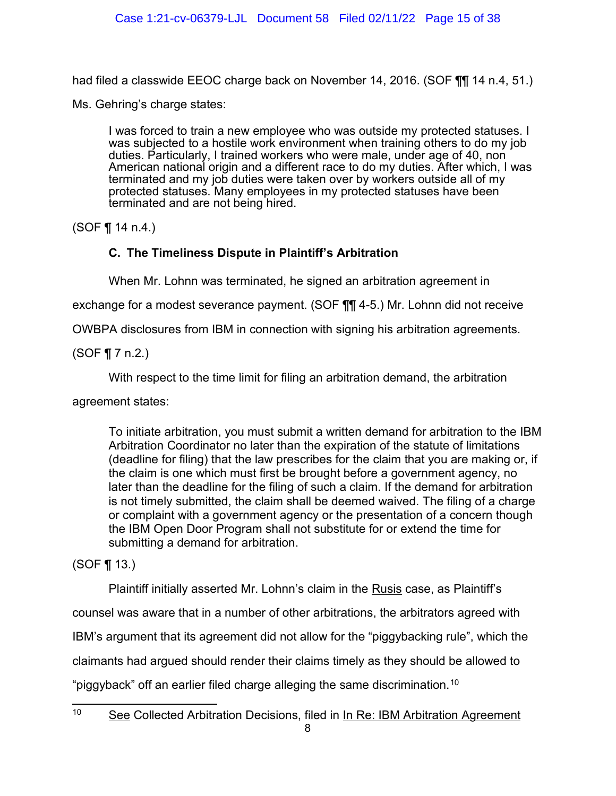had filed a classwide EEOC charge back on November 14, 2016. (SOF ¶¶ 14 n.4, 51.)

Ms. Gehring's charge states:

I was forced to train a new employee who was outside my protected statuses. I was subjected to a hostile work environment when training others to do my job duties. Particularly, I trained workers who were male, under age of 40, non American national origin and a different race to do my duties. After which, I was terminated and my job duties were taken over by workers outside all of my protected statuses. Many employees in my protected statuses have been terminated and are not being hired.

<span id="page-14-0"></span>(SOF ¶ 14 n.4.)

## **C. The Timeliness Dispute in Plaintiff's Arbitration**

When Mr. Lohnn was terminated, he signed an arbitration agreement in

exchange for a modest severance payment. (SOF ¶¶ 4-5.) Mr. Lohnn did not receive

OWBPA disclosures from IBM in connection with signing his arbitration agreements.

(SOF ¶ 7 n.2.)

With respect to the time limit for filing an arbitration demand, the arbitration

agreement states:

To initiate arbitration, you must submit a written demand for arbitration to the IBM Arbitration Coordinator no later than the expiration of the statute of limitations (deadline for filing) that the law prescribes for the claim that you are making or, if the claim is one which must first be brought before a government agency, no later than the deadline for the filing of such a claim. If the demand for arbitration is not timely submitted, the claim shall be deemed waived. The filing of a charge or complaint with a government agency or the presentation of a concern though the IBM Open Door Program shall not substitute for or extend the time for submitting a demand for arbitration.

(SOF ¶ 13.)

Plaintiff initially asserted Mr. Lohnn's claim in the Rusis case, as Plaintiff's

counsel was aware that in a number of other arbitrations, the arbitrators agreed with

IBM's argument that its agreement did not allow for the "piggybacking rule", which the

claimants had argued should render their claims timely as they should be allowed to

"piggyback" off an earlier filed charge alleging the same discrimination. $^\mathrm{10}$  $^\mathrm{10}$  $^\mathrm{10}$ 

<span id="page-14-1"></span><sup>&</sup>lt;sup>10</sup> See Collected Arbitration Decisions, filed in In Re: IBM Arbitration Agreement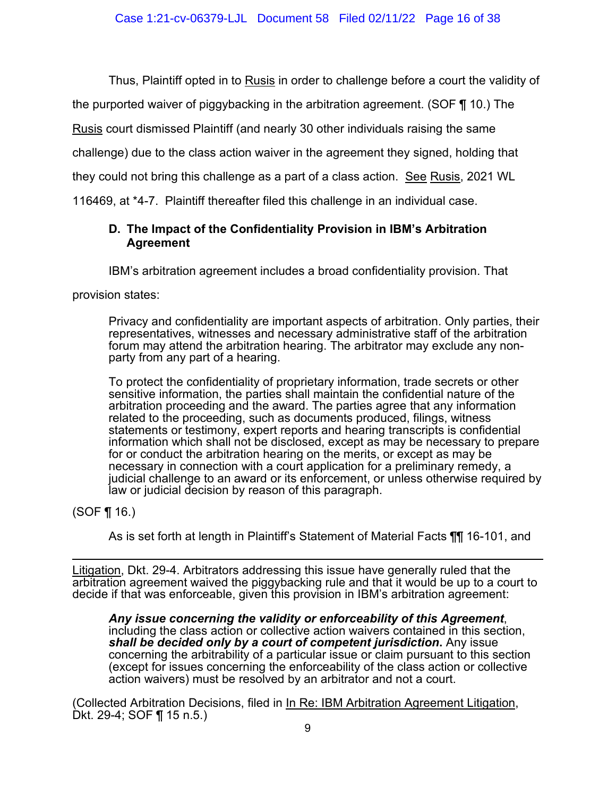Thus, Plaintiff opted in to Rusis in order to challenge before a court the validity of

the purported waiver of piggybacking in the arbitration agreement. (SOF ¶ 10.) The

Rusis court dismissed Plaintiff (and nearly 30 other individuals raising the same

challenge) due to the class action waiver in the agreement they signed, holding that

they could not bring this challenge as a part of a class action. See Rusis, 2021 WL

<span id="page-15-0"></span>116469, at \*4-7. Plaintiff thereafter filed this challenge in an individual case.

## **D. The Impact of the Confidentiality Provision in IBM's Arbitration Agreement**

IBM's arbitration agreement includes a broad confidentiality provision. That

provision states:

Privacy and confidentiality are important aspects of arbitration. Only parties, their representatives, witnesses and necessary administrative staff of the arbitration forum may attend the arbitration hearing. The arbitrator may exclude any nonparty from any part of a hearing.

To protect the confidentiality of proprietary information, trade secrets or other sensitive information, the parties shall maintain the confidential nature of the arbitration proceeding and the award. The parties agree that any information related to the proceeding, such as documents produced, filings, witness statements or testimony, expert reports and hearing transcripts is confidential information which shall not be disclosed, except as may be necessary to prepare for or conduct the arbitration hearing on the merits, or except as may be necessary in connection with a court application for a preliminary remedy, a judicial challenge to an award or its enforcement, or unless otherwise required by law or judicial decision by reason of this paragraph.

(SOF ¶ 16.)

As is set forth at length in Plaintiff's Statement of Material Facts ¶¶ 16-101, and

Litigation, Dkt. 29-4. Arbitrators addressing this issue have generally ruled that the arbitration agreement waived the piggybacking rule and that it would be up to a court to decide if that was enforceable, given this provision in IBM's arbitration agreement:

*Any issue concerning the validity or enforceability of this Agreement*, including the class action or collective action waivers contained in this section, *shall be decided only by a court of competent jurisdiction***.** Any issue concerning the arbitrability of a particular issue or claim pursuant to this section (except for issues concerning the enforceability of the class action or collective action waivers) must be resolved by an arbitrator and not a court.

(Collected Arbitration Decisions, filed in In Re: IBM Arbitration Agreement Litigation, Dkt. 29-4; SOF ¶ 15 n.5.)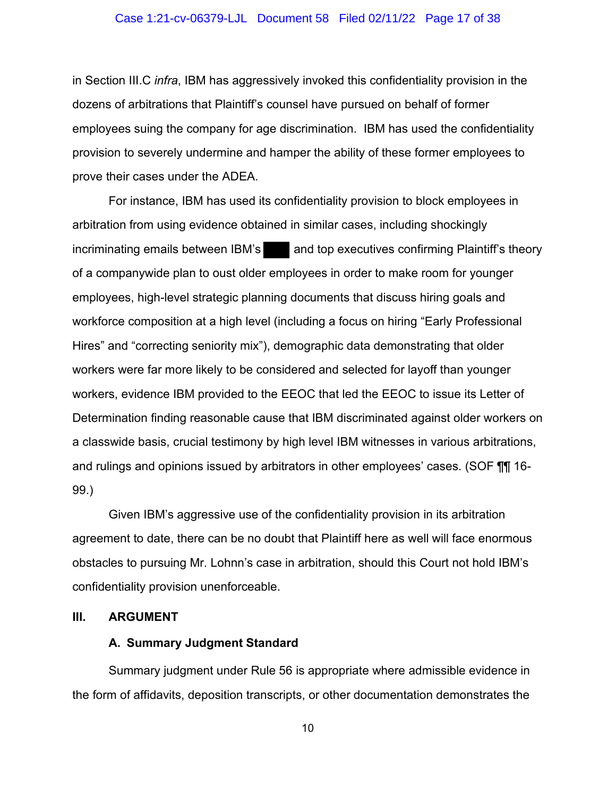#### Case 1:21-cv-06379-LJL Document 58 Filed 02/11/22 Page 17 of 38

in Section III.C *infra*, IBM has aggressively invoked this confidentiality provision in the dozens of arbitrations that Plaintiff's counsel have pursued on behalf of former employees suing the company for age discrimination. IBM has used the confidentiality provision to severely undermine and hamper the ability of these former employees to prove their cases under the ADEA.

For instance, IBM has used its confidentiality provision to block employees in arbitration from using evidence obtained in similar cases, including shockingly incriminating emails between IBM's and top executives confirming Plaintiff's theory of a companywide plan to oust older employees in order to make room for younger employees, high-level strategic planning documents that discuss hiring goals and workforce composition at a high level (including a focus on hiring "Early Professional Hires" and "correcting seniority mix"), demographic data demonstrating that older workers were far more likely to be considered and selected for layoff than younger workers, evidence IBM provided to the EEOC that led the EEOC to issue its Letter of Determination finding reasonable cause that IBM discriminated against older workers on a classwide basis, crucial testimony by high level IBM witnesses in various arbitrations, and rulings and opinions issued by arbitrators in other employees' cases. (SOF ¶¶ 16- 99.)

Given IBM's aggressive use of the confidentiality provision in its arbitration agreement to date, there can be no doubt that Plaintiff here as well will face enormous obstacles to pursuing Mr. Lohnn's case in arbitration, should this Court not hold IBM's confidentiality provision unenforceable.

#### <span id="page-16-1"></span><span id="page-16-0"></span>**III. ARGUMENT**

#### **A. Summary Judgment Standard**

Summary judgment under Rule 56 is appropriate where admissible evidence in the form of affidavits, deposition transcripts, or other documentation demonstrates the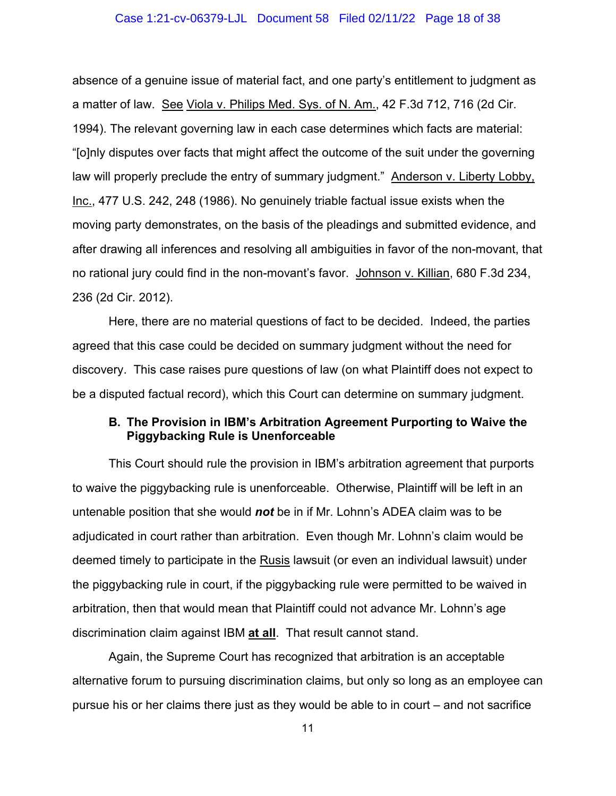#### Case 1:21-cv-06379-LJL Document 58 Filed 02/11/22 Page 18 of 38

absence of a genuine issue of material fact, and one party's entitlement to judgment as a matter of law. See Viola v. Philips Med. Sys. of N. Am., 42 F.3d 712, 716 (2d Cir. 1994). The relevant governing law in each case determines which facts are material: "[o]nly disputes over facts that might affect the outcome of the suit under the governing law will properly preclude the entry of summary judgment." Anderson v. Liberty Lobby, Inc., 477 U.S. 242, 248 (1986). No genuinely triable factual issue exists when the moving party demonstrates, on the basis of the pleadings and submitted evidence, and after drawing all inferences and resolving all ambiguities in favor of the non-movant, that no rational jury could find in the non-movant's favor. Johnson v. Killian, 680 F.3d 234, 236 (2d Cir. 2012).

Here, there are no material questions of fact to be decided. Indeed, the parties agreed that this case could be decided on summary judgment without the need for discovery. This case raises pure questions of law (on what Plaintiff does not expect to be a disputed factual record), which this Court can determine on summary judgment.

### <span id="page-17-0"></span>**B. The Provision in IBM's Arbitration Agreement Purporting to Waive the Piggybacking Rule is Unenforceable**

This Court should rule the provision in IBM's arbitration agreement that purports to waive the piggybacking rule is unenforceable. Otherwise, Plaintiff will be left in an untenable position that she would *not* be in if Mr. Lohnn's ADEA claim was to be adjudicated in court rather than arbitration. Even though Mr. Lohnn's claim would be deemed timely to participate in the Rusis lawsuit (or even an individual lawsuit) under the piggybacking rule in court, if the piggybacking rule were permitted to be waived in arbitration, then that would mean that Plaintiff could not advance Mr. Lohnn's age discrimination claim against IBM **at all**. That result cannot stand.

Again, the Supreme Court has recognized that arbitration is an acceptable alternative forum to pursuing discrimination claims, but only so long as an employee can pursue his or her claims there just as they would be able to in court – and not sacrifice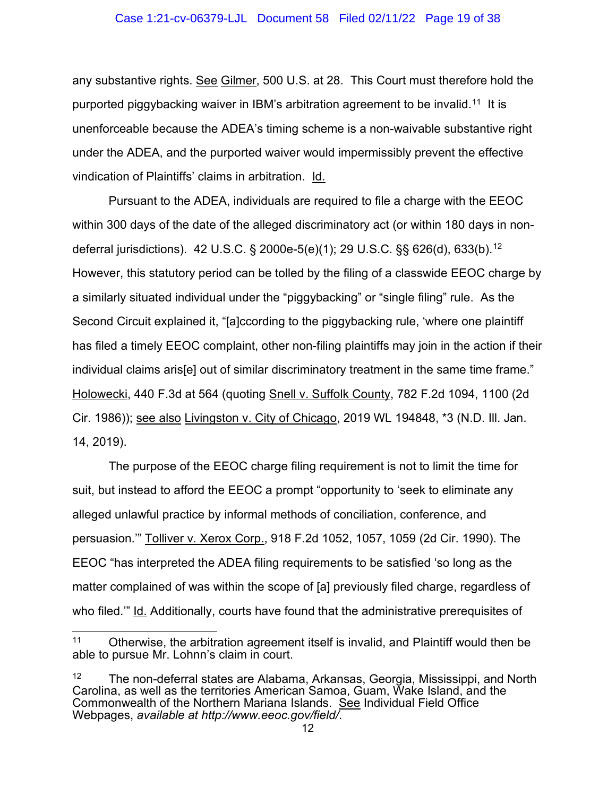#### Case 1:21-cv-06379-LJL Document 58 Filed 02/11/22 Page 19 of 38

any substantive rights. See Gilmer, 500 U.S. at 28.This Court must therefore hold the purported piggybacking waiver in IBM's arbitration agreement to be invalid.[11](#page-18-0)It is unenforceable because the ADEA's timing scheme is a non-waivable substantive right under the ADEA, and the purported waiver would impermissibly prevent the effective vindication of Plaintiffs' claims in arbitration. Id.

Pursuant to the ADEA, individuals are required to file a charge with the EEOC within 300 days of the date of the alleged discriminatory act (or within 180 days in nondeferral jurisdictions). 42 U.S.C. § 2000e-5(e)(1); 29 U.S.C. §§ 626(d), 633(b). [12](#page-18-1) However, this statutory period can be tolled by the filing of a classwide EEOC charge by a similarly situated individual under the "piggybacking" or "single filing" rule. As the Second Circuit explained it, "[a]ccording to the piggybacking rule, 'where one plaintiff has filed a timely EEOC complaint, other non-filing plaintiffs may join in the action if their individual claims aris[e] out of similar discriminatory treatment in the same time frame." Holowecki, 440 F.3d at 564 (quoting Snell v. Suffolk County, 782 F.2d 1094, 1100 (2d Cir. 1986)); see also Livingston v. City of Chicago, 2019 WL 194848, \*3 (N.D. Ill. Jan. 14, 2019).

The purpose of the EEOC charge filing requirement is not to limit the time for suit, but instead to afford the EEOC a prompt "opportunity to 'seek to eliminate any alleged unlawful practice by informal methods of conciliation, conference, and persuasion.'" Tolliver v. Xerox Corp., 918 F.2d 1052, 1057, 1059 (2d Cir. 1990). The EEOC "has interpreted the ADEA filing requirements to be satisfied 'so long as the matter complained of was within the scope of [a] previously filed charge, regardless of who filed." Id. Additionally, courts have found that the administrative prerequisites of

<span id="page-18-0"></span><sup>11</sup> Otherwise, the arbitration agreement itself is invalid, and Plaintiff would then be able to pursue Mr. Lohnn's claim in court.

<span id="page-18-1"></span><sup>&</sup>lt;sup>12</sup> The non-deferral states are Alabama, Arkansas, Georgia, Mississippi, and North Carolina, as well as the territories American Samoa, Guam, Wake Island, and the Commonwealth of the Northern Mariana Islands. See Individual Field Office Webpages, *available at http://www.eeoc.gov/field/*.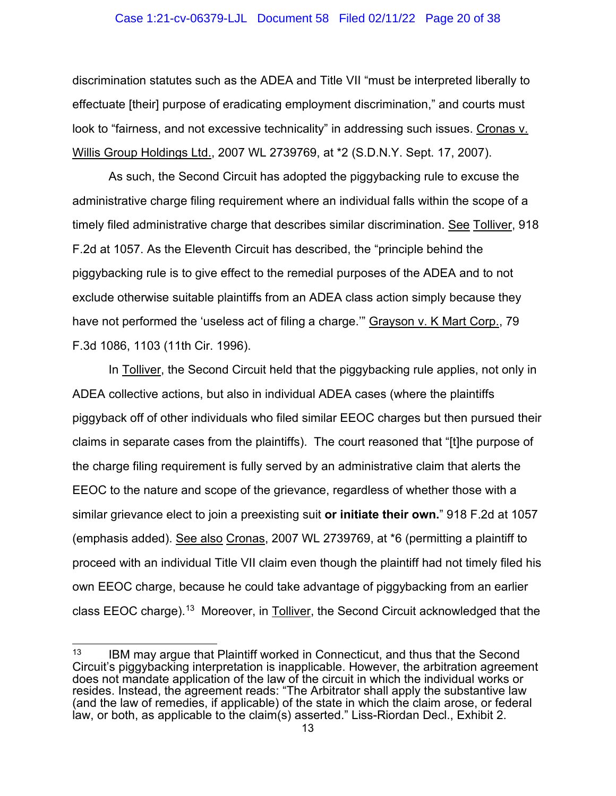#### Case 1:21-cv-06379-LJL Document 58 Filed 02/11/22 Page 20 of 38

discrimination statutes such as the ADEA and Title VII "must be interpreted liberally to effectuate [their] purpose of eradicating employment discrimination," and courts must look to "fairness, and not excessive technicality" in addressing such issues. Cronas v. Willis Group Holdings Ltd., 2007 WL 2739769, at \*2 (S.D.N.Y. Sept. 17, 2007).

As such, the Second Circuit has adopted the piggybacking rule to excuse the administrative charge filing requirement where an individual falls within the scope of a timely filed administrative charge that describes similar discrimination. See Tolliver, 918 F.2d at 1057. As the Eleventh Circuit has described, the "principle behind the piggybacking rule is to give effect to the remedial purposes of the ADEA and to not exclude otherwise suitable plaintiffs from an ADEA class action simply because they have not performed the 'useless act of filing a charge.'" Grayson v. K Mart Corp., 79 F.3d 1086, 1103 (11th Cir. 1996).

In Tolliver, the Second Circuit held that the piggybacking rule applies, not only in ADEA collective actions, but also in individual ADEA cases (where the plaintiffs piggyback off of other individuals who filed similar EEOC charges but then pursued their claims in separate cases from the plaintiffs). The court reasoned that "[t]he purpose of the charge filing requirement is fully served by an administrative claim that alerts the EEOC to the nature and scope of the grievance, regardless of whether those with a similar grievance elect to join a preexisting suit **or initiate their own.**" 918 F.2d at 1057 (emphasis added). See also Cronas, 2007 WL 2739769, at \*6 (permitting a plaintiff to proceed with an individual Title VII claim even though the plaintiff had not timely filed his own EEOC charge, because he could take advantage of piggybacking from an earlier class EEOC charge).<sup>[13](#page-19-0)</sup> Moreover, in Tolliver, the Second Circuit acknowledged that the

<span id="page-19-0"></span> $13$  IBM may argue that Plaintiff worked in Connecticut, and thus that the Second Circuit's piggybacking interpretation is inapplicable. However, the arbitration agreement does not mandate application of the law of the circuit in which the individual works or resides. Instead, the agreement reads: "The Arbitrator shall apply the substantive law (and the law of remedies, if applicable) of the state in which the claim arose, or federal law, or both, as applicable to the claim(s) asserted." Liss-Riordan Decl., Exhibit 2.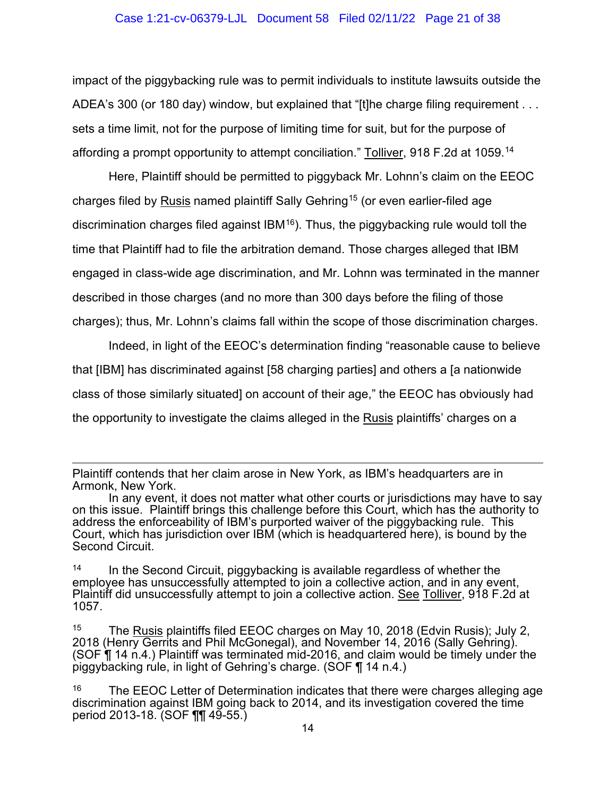#### Case 1:21-cv-06379-LJL Document 58 Filed 02/11/22 Page 21 of 38

impact of the piggybacking rule was to permit individuals to institute lawsuits outside the ADEA's 300 (or 180 day) window, but explained that "[t]he charge filing requirement . . . sets a time limit, not for the purpose of limiting time for suit, but for the purpose of affording a prompt opportunity to attempt conciliation." Tolliver, 918 F.2d at 1059.[14](#page-20-0) 

Here, Plaintiff should be permitted to piggyback Mr. Lohnn's claim on the EEOC charges filed by Rusis named plaintiff Sally Gehring<sup>[15](#page-20-1)</sup> (or even earlier-filed age discrimination charges filed against  $IBM^{16}$ ). Thus, the piggybacking rule would toll the time that Plaintiff had to file the arbitration demand. Those charges alleged that IBM engaged in class-wide age discrimination, and Mr. Lohnn was terminated in the manner described in those charges (and no more than 300 days before the filing of those charges); thus, Mr. Lohnn's claims fall within the scope of those discrimination charges.

Indeed, in light of the EEOC's determination finding "reasonable cause to believe that [IBM] has discriminated against [58 charging parties] and others a [a nationwide class of those similarly situated] on account of their age," the EEOC has obviously had the opportunity to investigate the claims alleged in the Rusis plaintiffs' charges on a

Plaintiff contends that her claim arose in New York, as IBM's headquarters are in Armonk, New York.

In any event, it does not matter what other courts or jurisdictions may have to say on this issue. Plaintiff brings this challenge before this Court, which has the authority to address the enforceability of IBM's purported waiver of the piggybacking rule. This Court, which has jurisdiction over IBM (which is headquartered here), is bound by the Second Circuit.

<span id="page-20-0"></span> $14$  In the Second Circuit, piggybacking is available regardless of whether the employee has unsuccessfully attempted to join a collective action, and in any event, Plaintiff did unsuccessfully attempt to join a collective action. See Tolliver, 918 F.2d at 1057.

<span id="page-20-1"></span><sup>15</sup> The Rusis plaintiffs filed EEOC charges on May 10, 2018 (Edvin Rusis); July 2, 2018 (Henry Gerrits and Phil McGonegal), and November 14, 2016 (Sally Gehring). (SOF ¶ 14 n.4.) Plaintiff was terminated mid-2016, and claim would be timely under the piggybacking rule, in light of Gehring's charge. (SOF ¶ 14 n.4.)

<span id="page-20-2"></span> $16$  The EEOC Letter of Determination indicates that there were charges alleging age discrimination against IBM going back to 2014, and its investigation covered the time period 2013-18. (SOF ¶¶ 49-55.)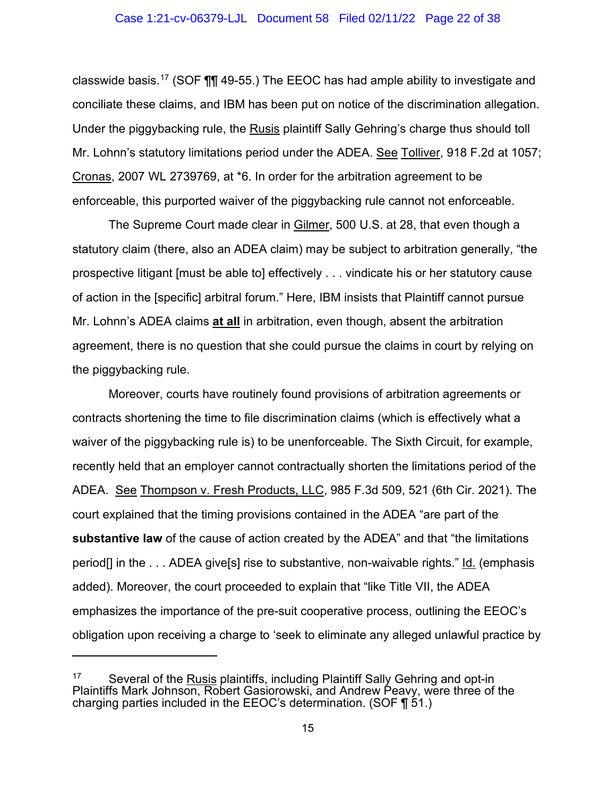#### Case 1:21-cv-06379-LJL Document 58 Filed 02/11/22 Page 22 of 38

classwide basis.<sup>[17](#page-21-0)</sup> (SOF  $\P$  $\P$  49-55.) The EEOC has had ample ability to investigate and conciliate these claims, and IBM has been put on notice of the discrimination allegation. Under the piggybacking rule, the Rusis plaintiff Sally Gehring's charge thus should toll Mr. Lohnn's statutory limitations period under the ADEA. See Tolliver, 918 F.2d at 1057; Cronas, 2007 WL 2739769, at \*6. In order for the arbitration agreement to be enforceable, this purported waiver of the piggybacking rule cannot not enforceable.

The Supreme Court made clear in Gilmer, 500 U.S. at 28, that even though a statutory claim (there, also an ADEA claim) may be subject to arbitration generally, "the prospective litigant [must be able to] effectively . . . vindicate his or her statutory cause of action in the [specific] arbitral forum." Here, IBM insists that Plaintiff cannot pursue Mr. Lohnn's ADEA claims **at all** in arbitration, even though, absent the arbitration agreement, there is no question that she could pursue the claims in court by relying on the piggybacking rule.

Moreover, courts have routinely found provisions of arbitration agreements or contracts shortening the time to file discrimination claims (which is effectively what a waiver of the piggybacking rule is) to be unenforceable. The Sixth Circuit, for example, recently held that an employer cannot contractually shorten the limitations period of the ADEA. See Thompson v. Fresh Products, LLC, 985 F.3d 509, 521 (6th Cir. 2021). The court explained that the timing provisions contained in the ADEA "are part of the **substantive law** of the cause of action created by the ADEA" and that "the limitations period<sup>[]</sup> in the ... ADEA give<sup>[</sup>s] rise to substantive, non-waivable rights." Id. (emphasis added). Moreover, the court proceeded to explain that "like Title VII, the ADEA emphasizes the importance of the pre-suit cooperative process, outlining the EEOC's obligation upon receiving a charge to 'seek to eliminate any alleged unlawful practice by

<span id="page-21-0"></span><sup>&</sup>lt;sup>17</sup> Several of the **Rusis plaintiffs, including Plaintiff Sally Gehring and opt-in** Plaintiffs Mark Johnson, Robert Gasiorowski, and Andrew Peavy, were three of the charging parties included in the EEOC's determination. (SOF  $\P$  51.)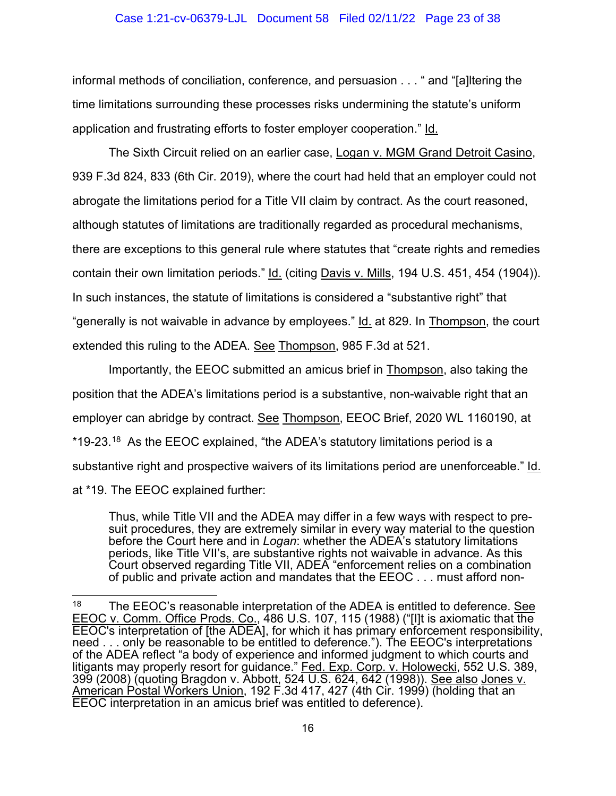#### Case 1:21-cv-06379-LJL Document 58 Filed 02/11/22 Page 23 of 38

informal methods of conciliation, conference, and persuasion . . . " and "[a]ltering the time limitations surrounding these processes risks undermining the statute's uniform application and frustrating efforts to foster employer cooperation." Id.

The Sixth Circuit relied on an earlier case, Logan v. MGM Grand Detroit Casino, 939 F.3d 824, 833 (6th Cir. 2019), where the court had held that an employer could not abrogate the limitations period for a Title VII claim by contract. As the court reasoned, although statutes of limitations are traditionally regarded as procedural mechanisms, there are exceptions to this general rule where statutes that "create rights and remedies contain their own limitation periods." Id. (citing Davis v. Mills, 194 U.S. 451, 454 (1904)). In such instances, the statute of limitations is considered a "substantive right" that "generally is not waivable in advance by employees." Id. at 829. In Thompson, the court extended this ruling to the ADEA. See Thompson, 985 F.3d at 521.

Importantly, the EEOC submitted an amicus brief in Thompson, also taking the position that the ADEA's limitations period is a substantive, non-waivable right that an employer can abridge by contract. See Thompson, EEOC Brief, 2020 WL 1160190, at \*19-23.[18](#page-22-0) As the EEOC explained, "the ADEA's statutory limitations period is a substantive right and prospective waivers of its limitations period are unenforceable." Id. at \*19. The EEOC explained further:

Thus, while Title VII and the ADEA may differ in a few ways with respect to presuit procedures, they are extremely similar in every way material to the question before the Court here and in *Logan*: whether the ADEA's statutory limitations periods, like Title VII's, are substantive rights not waivable in advance. As this Court observed regarding Title VII, ADEA "enforcement relies on a combination of public and private action and mandates that the EEOC . . . must afford non-

<span id="page-22-0"></span><sup>&</sup>lt;sup>18</sup> The EEOC's reasonable interpretation of the ADEA is entitled to deference. See EEOC v. Comm. Office Prods. Co., 486 U.S. 107, 115 (1988) ("[I]t is axiomatic that the EEOC's interpretation of [the ADEA], for which it has primary enforcement responsibility, need . . . only be reasonable to be entitled to deference."). The EEOC's interpretations of the ADEA reflect "a body of experience and informed judgment to which courts and litigants may properly resort for guidance." <u>Fed. Exp. Corp. v. Holowecki,</u> 552 U.S. 389, 399 (2008) (quoting Bragdon v. Abbott, 524 U.S. 624, 642 (1998)). <u>See also Jones v.</u> American Postal Workers Union, 192 F.3d 417, 427 (4th Cir. 1999) (holding that an EEOC interpretation in an amicus brief was entitled to deference).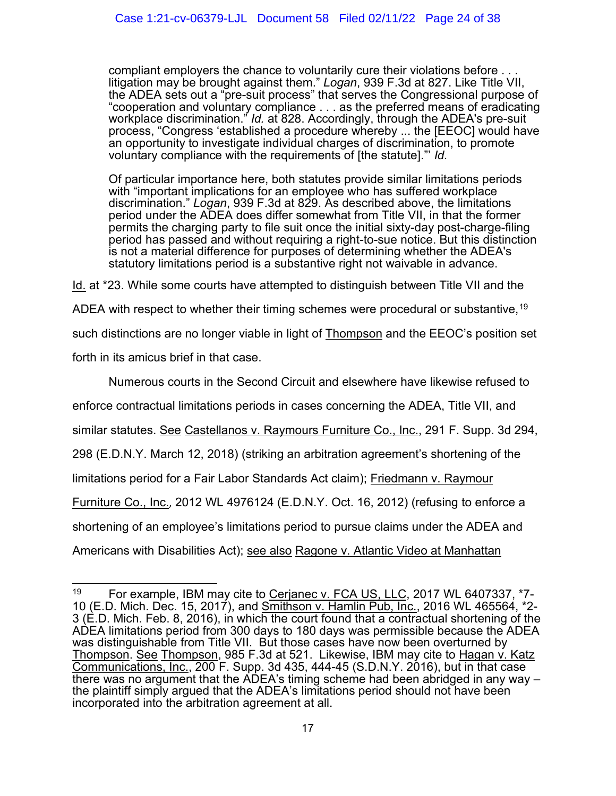compliant employers the chance to voluntarily cure their violations before . . .<br>litigation may be brought against them." *Logan*, 939 F.3d at 827. Like Title VII, the ADEA sets out a "pre-suit process" that serves the Congressional purpose of "cooperation and voluntary compliance . . . as the preferred means of eradicating workplace discrimination." *Id.* at 828. Accordingly, through the ADEA's pre-suit process, "Congress 'established a procedure whereby ... the [EEOC] would have an opportunity to investigate individual charges of discrimination, to promote voluntary compliance with the requirements of [the statute]."' *Id.*

Of particular importance here, both statutes provide similar limitations periods with "important implications for an employee who has suffered workplace discrimination." *Logan*, 939 F.3d at 829. As described above, the limitations period under the ADEA does differ somewhat from Title VII, in that the former permits the charging party to file suit once the initial sixty-day post-charge-filing period has passed and without requiring a right-to-sue notice. But this distinction is not a material difference for purposes of determining whether the ADEA's statutory limitations period is a substantive right not waivable in advance.

Id. at \*23. While some courts have attempted to distinguish between Title VII and the

ADEA with respect to whether their timing schemes were procedural or substantive.<sup>[19](#page-23-0)</sup>

such distinctions are no longer viable in light of Thompson and the EEOC's position set

forth in its amicus brief in that case.

Numerous courts in the Second Circuit and elsewhere have likewise refused to

enforce contractual limitations periods in cases concerning the ADEA, Title VII, and

similar statutes. See Castellanos v. Raymours Furniture Co., Inc., 291 F. Supp. 3d 294,

298 (E.D.N.Y. March 12, 2018) (striking an arbitration agreement's shortening of the

limitations period for a Fair Labor Standards Act claim); Friedmann v. Raymour

Furniture Co., Inc., 2012 WL 4976124 (E.D.N.Y. Oct. 16, 2012) (refusing to enforce a

shortening of an employee's limitations period to pursue claims under the ADEA and

Americans with Disabilities Act); see also Ragone v. Atlantic Video at Manhattan

<span id="page-23-0"></span><sup>&</sup>lt;sup>19</sup> For example, IBM may cite to Cerjanec v. FCA US, LLC, 2017 WL 6407337, \*7-10 (E.D. Mich. Dec. 15, 2017), and Smithson v. Hamlin Pub, Inc., 2016 WL 465564, \*2- 3 (E.D. Mich. Feb. 8, 2016), in which the court found that a contractual shortening of the ADEA limitations period from 300 days to 180 days was permissible because the ADEA was distinguishable from Title VII. But those cases have now been overturned by Thompson. See Thompson, 985 F.3d at 521. Likewise, IBM may cite to Hagan v. Katz Communications, Inc., 200 F. Supp. 3d 435, 444-45 (S.D.N.Y. 2016), but in that case<br>there was no argument that the ADEA's timing scheme had been abridged in any way – the plaintiff simply argued that the ADEA's limitations period should not have been incorporated into the arbitration agreement at all.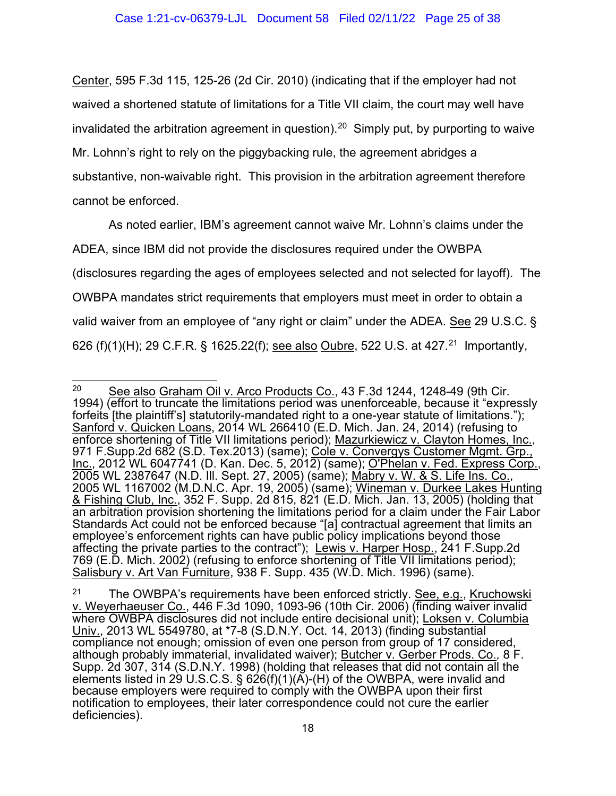Center, 595 F.3d 115, 125-26 (2d Cir. 2010) (indicating that if the employer had not waived a shortened statute of limitations for a Title VII claim, the court may well have invalidated the arbitration agreement in question). $^{\mathsf{20}}\,$  Simply put, by purporting to waive Mr. Lohnn's right to rely on the piggybacking rule, the agreement abridges a substantive, non-waivable right. This provision in the arbitration agreement therefore cannot be enforced.

As noted earlier, IBM's agreement cannot waive Mr. Lohnn's claims under the ADEA, since IBM did not provide the disclosures required under the OWBPA (disclosures regarding the ages of employees selected and not selected for layoff). The OWBPA mandates strict requirements that employers must meet in order to obtain a valid waiver from an employee of "any right or claim" under the ADEA. See 29 U.S.C. § 626 (f)(1)(H); 29 C.F.R. § 1625.22(f); <u>see also Oubre</u>, 522 U.S. at 427.<sup>[21](#page-24-1)</sup> Importantly,

<span id="page-24-0"></span><sup>&</sup>lt;sup>20</sup> See also Graham Oil v. Arco Products Co., 43 F.3d 1244, 1248-49 (9th Cir. 1994) (effort to truncate the limitations period was unenforceable, because it "expressly forfeits [the plaintiff's] statutorily-mandated right to a one-year statute of limitations."); Sanford v. Quicken Loans, 2014 WL 266410 (E.D. Mich. Jan. 24, 2014) (refusing to enforce shortening of Title VII limitations period); <u>Mazurkiewicz v. Clayton Homes, Inc.</u>, 971 F.Supp.2d 682 (S.D. Tex.2013) (same); <u>Cole v. Convergys Customer Mgmt. Grp.,</u> <u>Inc.,</u> 2012 WL 6047741 (D. Kan. Dec. 5, 2012) (same); <u>O'Phelan v. Fed. Express Corp.</u>, 2005 WL 2387647 (N.D. Ill. Sept. 27, 2005) (same); <u>Mabry v. W. & S. Life Ins. Co.</u>, 2005 WL 1167002 (M.D.N.C. Apr. 19, 2005) (same); <u>Wineman v. Durkee Lakes Hunting</u> & Fishing Club, Inc., 352 F. Supp. 2d 815, 821 (E.D. Mich. Jan. 13, 2005) (holding that an arbitration provision shortening the limitations period for a claim under the Fair Labor Standards Act could not be enforced because "[a] contractual agreement that limits an employee's enforcement rights can have public policy implications beyond those affecting the private parties to the contract"); Lewis v. Harper Hosp., 241 F.Supp.2d 769 (E.D. Mich. 2002) (refusing to enforce shortening of Title VII limitations period); Salisbury v. Art Van Furniture, 938 F. Supp. 435 (W.D. Mich. 1996) (same).

<span id="page-24-1"></span><sup>&</sup>lt;sup>21</sup> The OWBPA's requirements have been enforced strictly. **See, e.g., Kruchowski** v. Weyerhaeuser Co., 446 F.3d 1090, 1093-96 (10th Cir. 2006) (finding waiver invalid where OWBPA disclosures did not include entire decisional unit); Loksen v. Columbia Univ., 2013 WL 5549780, at \*7-8 (S.D.N.Y. Oct. 14, 2013) (finding substantial compliance not enough; omission of even one person from group of 17 considered, although probably immaterial, invalidated waiver); Butcher v. Gerber Prods. Co.*,* 8 F. Supp. 2d 307, 314 (S.D.N.Y. 1998) (holding that releases that did not contain all the elements listed in 29 U.S.C.S. § 626(f)(1)(A)-(H) of the OWBPA, were invalid and because employers were required to comply with the OWBPA upon their first notification to employees, their later correspondence could not cure the earlier deficiencies).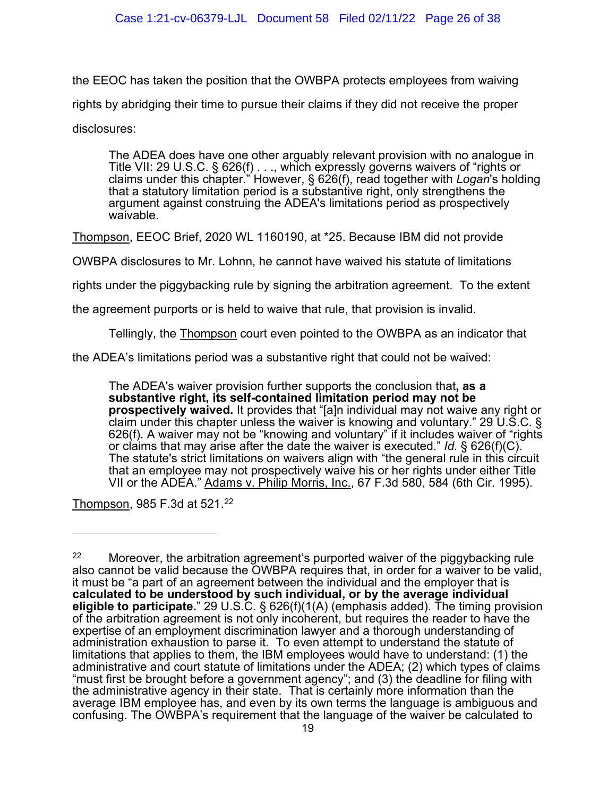the EEOC has taken the position that the OWBPA protects employees from waiving rights by abridging their time to pursue their claims if they did not receive the proper disclosures:

The ADEA does have one other arguably relevant provision with no analogue in Title VII: 29 U.S.C. § 626(f) . . ., which expressly governs waivers of "rights or claims under this chapter." However, § 626(f), read together with *Logan*'s holding that a statutory limitation period is a substantive right, only strengthens the argument against construing the ADEA's limitations period as prospectively waivable.

Thompson, EEOC Brief, 2020 WL 1160190, at \*25. Because IBM did not provide

OWBPA disclosures to Mr. Lohnn, he cannot have waived his statute of limitations

rights under the piggybacking rule by signing the arbitration agreement. To the extent

the agreement purports or is held to waive that rule, that provision is invalid.

Tellingly, the Thompson court even pointed to the OWBPA as an indicator that

the ADEA's limitations period was a substantive right that could not be waived:

The ADEA's waiver provision further supports the conclusion that**, as a substantive right, its self-contained limitation period may not be prospectively waived.** It provides that "[a]n individual may not waive any right or claim under this chapter unless the waiver is knowing and voluntary." 29 U.S.C. § 626(f). A waiver may not be "knowing and voluntary" if it includes waiver of "rights or claims that may arise after the date the waiver is executed." *Id.* § 626(f)(C). The statute's strict limitations on waivers align with "the general rule in this circuit that an employee may not prospectively waive his or her rights under either Title VII or the ADEA." Adams v. Philip Morris, Inc., 67 F.3d 580, 584 (6th Cir. 1995).

Thompson, 985 F.3d at 521.<sup>[22](#page-25-0)</sup>

<span id="page-25-0"></span><sup>&</sup>lt;sup>22</sup> Moreover, the arbitration agreement's purported waiver of the piggybacking rule also cannot be valid because the OWBPA requires that, in order for a waiver to be valid, it must be "a part of an agreement between the individual and the employer that is **calculated to be understood by such individual, or by the average individual eligible to participate.**" 29 U.S.C. § 626(f)(1(A) (emphasis added). The timing provision of the arbitration agreement is not only incoherent, but requires the reader to have the expertise of an employment discrimination lawyer and a thorough understanding of administration exhaustion to parse it. To even attempt to understand the statute of limitations that applies to them, the IBM employees would have to understand: (1) the administrative and court statute of limitations under the ADEA; (2) which types of claims "must first be brought before a government agency"; and (3) the deadline for filing with the administrative agency in their state. That is certainly more information than the average IBM employee has, and even by its own terms the language is ambiguous and confusing. The OWBPA's requirement that the language of the waiver be calculated to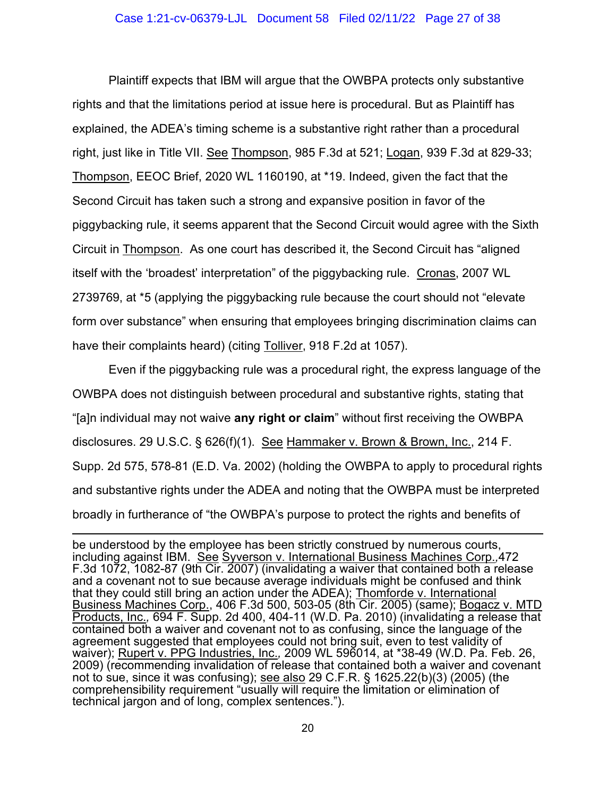Plaintiff expects that IBM will argue that the OWBPA protects only substantive rights and that the limitations period at issue here is procedural. But as Plaintiff has explained, the ADEA's timing scheme is a substantive right rather than a procedural right, just like in Title VII. See Thompson, 985 F.3d at 521; Logan, 939 F.3d at 829-33; Thompson, EEOC Brief, 2020 WL 1160190, at \*19. Indeed, given the fact that the Second Circuit has taken such a strong and expansive position in favor of the piggybacking rule, it seems apparent that the Second Circuit would agree with the Sixth Circuit in Thompson. As one court has described it, the Second Circuit has "aligned itself with the 'broadest' interpretation" of the piggybacking rule. Cronas, 2007 WL 2739769, at \*5 (applying the piggybacking rule because the court should not "elevate form over substance" when ensuring that employees bringing discrimination claims can have their complaints heard) (citing Tolliver, 918 F.2d at 1057).

Even if the piggybacking rule was a procedural right, the express language of the OWBPA does not distinguish between procedural and substantive rights, stating that "[a]n individual may not waive **any right or claim**" without first receiving the OWBPA disclosures. 29 U.S.C. § 626(f)(1). See Hammaker v. Brown & Brown, Inc., 214 F. Supp. 2d 575, 578-81 (E.D. Va. 2002) (holding the OWBPA to apply to procedural rights and substantive rights under the ADEA and noting that the OWBPA must be interpreted broadly in furtherance of "the OWBPA's purpose to protect the rights and benefits of

be understood by the employee has been strictly construed by numerous courts, including against IBM. See Syverson v. International Business Machines Corp.*,*472 F.3d 1072, 1082-87 (9th Cir. 2007) (invalidating a waiver that contained both a release and a covenant not to sue because average individuals might be confused and think that they could still bring an action under the ADEA); Thomforde v. International Business Machines Corp., 406 F.3d 500, 503-05 (8th Cir. 2005) (same); Bogacz v. MTD Products, Inc.*,* 694 F. Supp. 2d 400, 404-11 (W.D. Pa. 2010) (invalidating a release that contained both a waiver and covenant not to as confusing, since the language of the agreement suggested that employees could not bring suit, even to test validity of waiver); Rupert v. PPG Industries, Inc.*,* 2009 WL 596014, at \*38-49 (W.D. Pa. Feb. 26, 2009) (recommending invalidation of release that contained both a waiver and covenant not to sue, since it was confusing); see also 29 C.F.R. § 1625.22(b)(3) (2005) (the comprehensibility requirement "usually will require the limitation or elimination of technical jargon and of long, complex sentences.").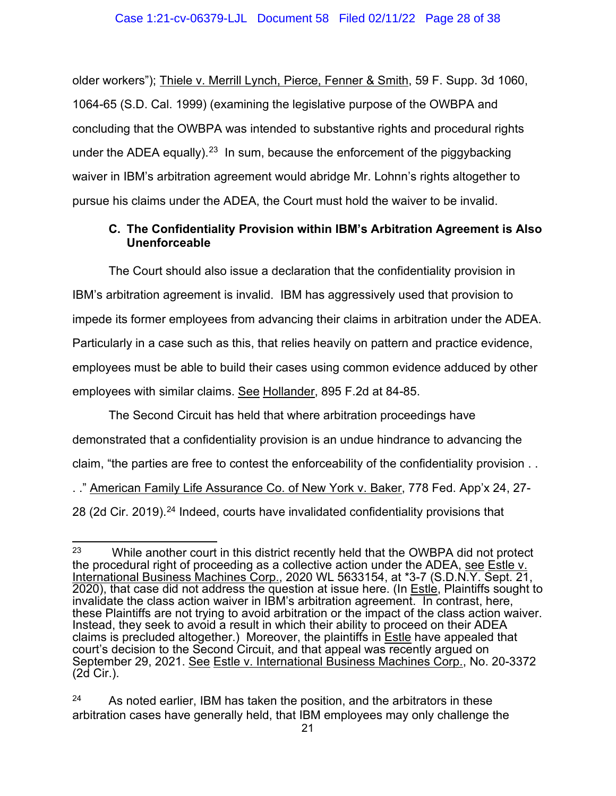older workers"); Thiele v. Merrill Lynch, Pierce, Fenner & Smith, 59 F. Supp. 3d 1060, 1064-65 (S.D. Cal. 1999) (examining the legislative purpose of the OWBPA and concluding that the OWBPA was intended to substantive rights and procedural rights under the ADEA equally).<sup>23</sup> In sum, because the enforcement of the piggybacking waiver in IBM's arbitration agreement would abridge Mr. Lohnn's rights altogether to pursue his claims under the ADEA, the Court must hold the waiver to be invalid.

## <span id="page-27-0"></span>**C. The Confidentiality Provision within IBM's Arbitration Agreement is Also Unenforceable**

The Court should also issue a declaration that the confidentiality provision in IBM's arbitration agreement is invalid. IBM has aggressively used that provision to impede its former employees from advancing their claims in arbitration under the ADEA. Particularly in a case such as this, that relies heavily on pattern and practice evidence, employees must be able to build their cases using common evidence adduced by other employees with similar claims. See Hollander, 895 F.2d at 84-85.

The Second Circuit has held that where arbitration proceedings have demonstrated that a confidentiality provision is an undue hindrance to advancing the claim, "the parties are free to contest the enforceability of the confidentiality provision . . . ." American Family Life Assurance Co. of New York v. Baker, 778 Fed. App'x 24, 27- 28 (2d Cir. 2019).<sup>[24](#page-27-2)</sup> Indeed, courts have invalidated confidentiality provisions that

<span id="page-27-1"></span> $23$  While another court in this district recently held that the OWBPA did not protect the procedural right of proceeding as a collective action under the ADEA, see Estle v. International Business Machines Corp., 2020 WL 5633154, at \*3-7 (S.D.N.Y. Sept. 21, 2020), that case did not address the question at issue here. (In Estle, Plaintiffs sought to invalidate the class action waiver in IBM's arbitration agreement. In contrast, here, these Plaintiffs are not trying to avoid arbitration or the impact of the class action waiver. Instead, they seek to avoid a result in which their ability to proceed on their ADEA claims is precluded altogether.) Moreover, the plaintiffs in  $Estile$  have appealed that court's decision to the Second Circuit, and that appeal was recently argued on September 29, 2021. See Estle v. International Business Machines Corp., No. 20-3372 (2d Cir.).

<span id="page-27-2"></span> $24$  As noted earlier, IBM has taken the position, and the arbitrators in these arbitration cases have generally held, that IBM employees may only challenge the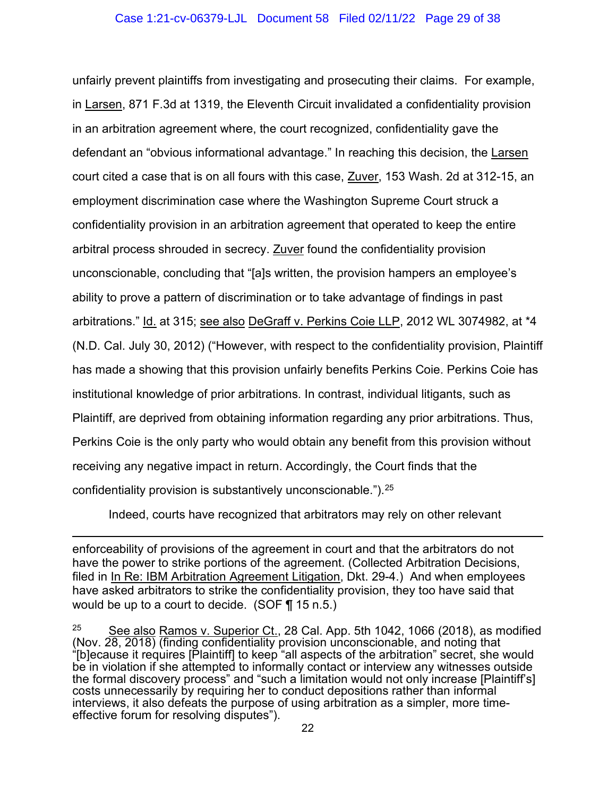#### Case 1:21-cv-06379-LJL Document 58 Filed 02/11/22 Page 29 of 38

unfairly prevent plaintiffs from investigating and prosecuting their claims. For example, in Larsen, 871 F.3d at 1319, the Eleventh Circuit invalidated a confidentiality provision in an arbitration agreement where, the court recognized, confidentiality gave the defendant an "obvious informational advantage." In reaching this decision, the Larsen court cited a case that is on all fours with this case, Zuver, 153 Wash. 2d at 312-15, an employment discrimination case where the Washington Supreme Court struck a confidentiality provision in an arbitration agreement that operated to keep the entire arbitral process shrouded in secrecy. Zuver found the confidentiality provision unconscionable, concluding that "[a]s written, the provision hampers an employee's ability to prove a pattern of discrimination or to take advantage of findings in past arbitrations." Id. at 315; see also DeGraff v. Perkins Coie LLP, 2012 WL 3074982, at \*4 (N.D. Cal. July 30, 2012) ("However, with respect to the confidentiality provision, Plaintiff has made a showing that this provision unfairly benefits Perkins Coie. Perkins Coie has institutional knowledge of prior arbitrations. In contrast, individual litigants, such as Plaintiff, are deprived from obtaining information regarding any prior arbitrations. Thus, Perkins Coie is the only party who would obtain any benefit from this provision without receiving any negative impact in return. Accordingly, the Court finds that the confidentiality provision is substantively unconscionable.").[25](#page-28-0) 

Indeed, courts have recognized that arbitrators may rely on other relevant

enforceability of provisions of the agreement in court and that the arbitrators do not have the power to strike portions of the agreement. (Collected Arbitration Decisions, filed in In Re: IBM Arbitration Agreement Litigation, Dkt. 29-4.) And when employees have asked arbitrators to strike the confidentiality provision, they too have said that would be up to a court to decide. (SOF ¶ 15 n.5.)

<span id="page-28-0"></span> $25$  See also Ramos v. Superior Ct., 28 Cal. App. 5th 1042, 1066 (2018), as modified (Nov. 28, 2018) (finding confidentiality provision unconscionable, and noting that "[b]ecause it requires [Plaintiff] to keep "all aspects of the arbitration" secret, she would be in violation if she attempted to informally contact or interview any witnesses outside the formal discovery process" and "such a limitation would not only increase [Plaintiff's] costs unnecessarily by requiring her to conduct depositions rather than informal interviews, it also defeats the purpose of using arbitration as a simpler, more time- effective forum for resolving disputes").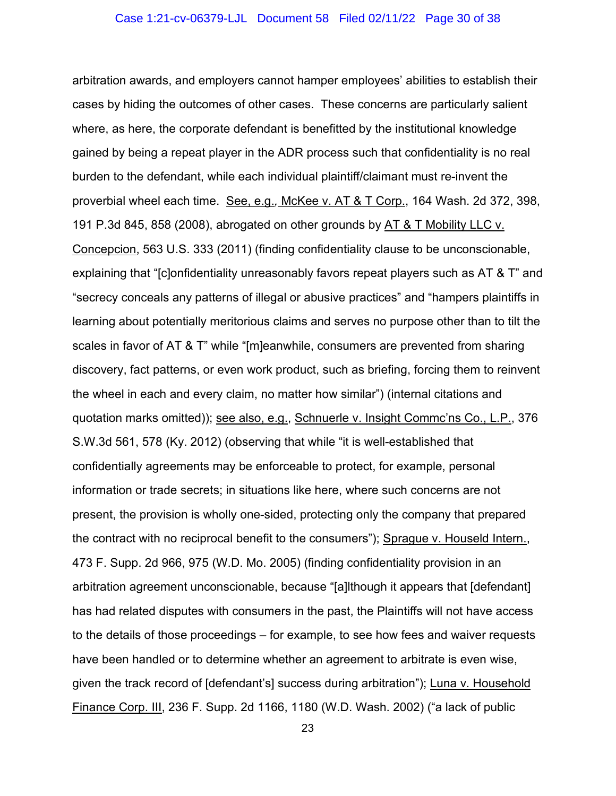arbitration awards, and employers cannot hamper employees' abilities to establish their cases by hiding the outcomes of other cases. These concerns are particularly salient where, as here, the corporate defendant is benefitted by the institutional knowledge gained by being a repeat player in the ADR process such that confidentiality is no real burden to the defendant, while each individual plaintiff/claimant must re-invent the proverbial wheel each time. See, e.g.*,* McKee v. AT & T Corp., 164 Wash. 2d 372, 398, 191 P.3d 845, 858 (2008), abrogated on other grounds by AT & T Mobility LLC v. Concepcion, 563 U.S. 333 (2011) (finding confidentiality clause to be unconscionable, explaining that "[c]onfidentiality unreasonably favors repeat players such as AT & T" and "secrecy conceals any patterns of illegal or abusive practices" and "hampers plaintiffs in learning about potentially meritorious claims and serves no purpose other than to tilt the scales in favor of AT & T" while "[m]eanwhile, consumers are prevented from sharing discovery, fact patterns, or even work product, such as briefing, forcing them to reinvent the wheel in each and every claim, no matter how similar") (internal citations and quotation marks omitted)); see also, e.g., Schnuerle v. Insight Commc'ns Co., L.P., 376 S.W.3d 561, 578 (Ky. 2012) (observing that while "it is well-established that confidentially agreements may be enforceable to protect, for example, personal information or trade secrets; in situations like here, where such concerns are not present, the provision is wholly one-sided, protecting only the company that prepared the contract with no reciprocal benefit to the consumers"); Sprague v. Houseld Intern., 473 F. Supp. 2d 966, 975 (W.D. Mo. 2005) (finding confidentiality provision in an arbitration agreement unconscionable, because "[a]lthough it appears that [defendant] has had related disputes with consumers in the past, the Plaintiffs will not have access to the details of those proceedings – for example, to see how fees and waiver requests have been handled or to determine whether an agreement to arbitrate is even wise, given the track record of [defendant's] success during arbitration"); Luna v. Household Finance Corp. III, 236 F. Supp. 2d 1166, 1180 (W.D. Wash. 2002) ("a lack of public

23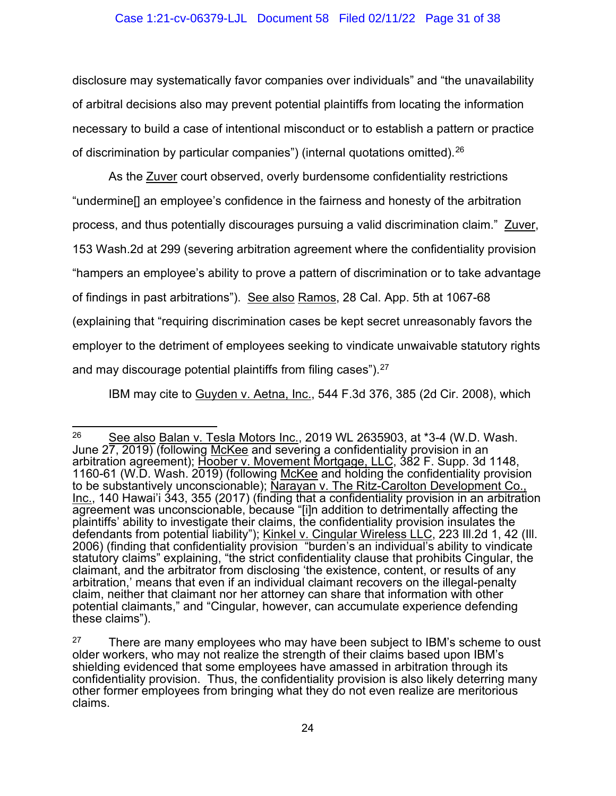disclosure may systematically favor companies over individuals" and "the unavailability of arbitral decisions also may prevent potential plaintiffs from locating the information necessary to build a case of intentional misconduct or to establish a pattern or practice of discrimination by particular companies") (internal quotations omitted).[26](#page-30-0)

As the **Zuver** court observed, overly burdensome confidentiality restrictions "undermine[] an employee's confidence in the fairness and honesty of the arbitration process, and thus potentially discourages pursuing a valid discrimination claim." Zuver, 153 Wash.2d at 299 (severing arbitration agreement where the confidentiality provision "hampers an employee's ability to prove a pattern of discrimination or to take advantage of findings in past arbitrations"). See also Ramos, 28 Cal. App. 5th at 1067-68 (explaining that "requiring discrimination cases be kept secret unreasonably favors the employer to the detriment of employees seeking to vindicate unwaivable statutory rights and may discourage potential plaintiffs from filing cases").  $27$ 

IBM may cite to Guyden v. Aetna, Inc., 544 F.3d 376, 385 (2d Cir. 2008), which

<span id="page-30-0"></span> $26$  See also Balan v. Tesla Motors Inc., 2019 WL 2635903, at \*3-4 (W.D. Wash. June 27, 2019) (following McKee and severing a confidentiality provision in an arbitration agreement); Hoober v. Movement Mortgage, LLC, 382 F. Supp. 3d 1148, 1160-61 (W.D. Wash. 2019) (following McKee and holding the confidentiality provision to be substantively unconscionable); Narayan v. The Ritz-Carolton Development Co., Inc., 140 Hawai'i 343, 355 (2017) (finding that a confidentiality provision in an arbitration agreement was unconscionable, because "[i]n addition to detrimentally affecting the plaintiffs' ability to investigate their claims, the confidentiality provision insulates the defendants from potential liability"); Kinkel v. Cingular Wireless LLC, 223 Ill.2d 1, 42 (Ill. 2006) (finding that confidentiality provision "burden's an individual's ability to vindicate statutory claims" explaining, "the strict confidentiality clause that prohibits Cingular, the claimant, and the arbitrator from disclosing 'the existence, content, or results of any arbitration,' means that even if an individual claimant recovers on the illegal-penalty claim, neither that claimant nor her attorney can share that information with other potential claimants," and "Cingular, however, can accumulate experience defending these claims").

<span id="page-30-1"></span> $27$  There are many employees who may have been subject to IBM's scheme to oust older workers, who may not realize the strength of their claims based upon IBM's shielding evidenced that some employees have amassed in arbitration through its confidentiality provision. Thus, the confidentiality provision is also likely deterring many other former employees from bringing what they do not even realize are meritorious claims.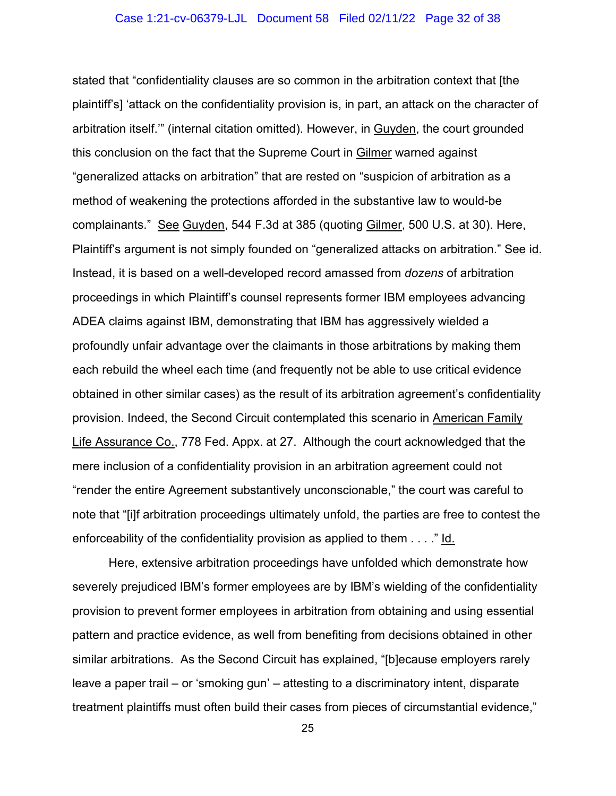stated that "confidentiality clauses are so common in the arbitration context that [the plaintiff's] 'attack on the confidentiality provision is, in part, an attack on the character of arbitration itself.'" (internal citation omitted). However, in Guyden, the court grounded this conclusion on the fact that the Supreme Court in Gilmer warned against "generalized attacks on arbitration" that are rested on "suspicion of arbitration as a method of weakening the protections afforded in the substantive law to would-be complainants." See Guyden, 544 F.3d at 385 (quoting Gilmer, 500 U.S. at 30). Here, Plaintiff's argument is not simply founded on "generalized attacks on arbitration." See id. Instead, it is based on a well-developed record amassed from *dozens* of arbitration proceedings in which Plaintiff's counsel represents former IBM employees advancing ADEA claims against IBM, demonstrating that IBM has aggressively wielded a profoundly unfair advantage over the claimants in those arbitrations by making them each rebuild the wheel each time (and frequently not be able to use critical evidence obtained in other similar cases) as the result of its arbitration agreement's confidentiality provision. Indeed, the Second Circuit contemplated this scenario in American Family Life Assurance Co., 778 Fed. Appx. at 27. Although the court acknowledged that the mere inclusion of a confidentiality provision in an arbitration agreement could not "render the entire Agreement substantively unconscionable," the court was careful to note that "[i]f arbitration proceedings ultimately unfold, the parties are free to contest the enforceability of the confidentiality provision as applied to them . . . ." Id.

Here, extensive arbitration proceedings have unfolded which demonstrate how severely prejudiced IBM's former employees are by IBM's wielding of the confidentiality provision to prevent former employees in arbitration from obtaining and using essential pattern and practice evidence, as well from benefiting from decisions obtained in other similar arbitrations. As the Second Circuit has explained, "[b]ecause employers rarely leave a paper trail – or 'smoking gun' – attesting to a discriminatory intent, disparate treatment plaintiffs must often build their cases from pieces of circumstantial evidence,"

25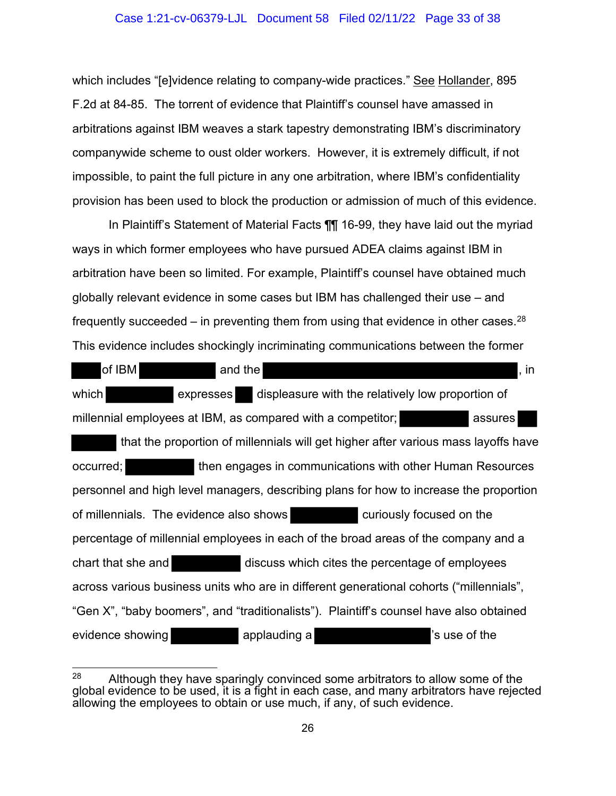#### Case 1:21-cv-06379-LJL Document 58 Filed 02/11/22 Page 33 of 38

which includes "[e]vidence relating to company-wide practices." See Hollander, 895 F.2d at 84-85. The torrent of evidence that Plaintiff's counsel have amassed in arbitrations against IBM weaves a stark tapestry demonstrating IBM's discriminatory companywide scheme to oust older workers. However, it is extremely difficult, if not impossible, to paint the full picture in any one arbitration, where IBM's confidentiality provision has been used to block the production or admission of much of this evidence.

In Plaintiff's Statement of Material Facts ¶¶ 16-99, they have laid out the myriad ways in which former employees who have pursued ADEA claims against IBM in arbitration have been so limited. For example, Plaintiff's counsel have obtained much globally relevant evidence in some cases but IBM has challenged their use – and frequently succeeded – in preventing them from using that evidence in other cases.<sup>28</sup> This evidence includes shockingly incriminating communications between the former

| of IBM             | and the                                                                                 |                                                   | , in                                                      |
|--------------------|-----------------------------------------------------------------------------------------|---------------------------------------------------|-----------------------------------------------------------|
| which              | expresses                                                                               | displeasure with the relatively low proportion of |                                                           |
|                    | millennial employees at IBM, as compared with a competitor;                             |                                                   | assures                                                   |
|                    | that the proportion of millennials will get higher after various mass layoffs have      |                                                   |                                                           |
| occurred;          |                                                                                         |                                                   | then engages in communications with other Human Resources |
|                    | personnel and high level managers, describing plans for how to increase the proportion  |                                                   |                                                           |
|                    | of millennials. The evidence also shows                                                 |                                                   | curiously focused on the                                  |
|                    | percentage of millennial employees in each of the broad areas of the company and a      |                                                   |                                                           |
| chart that she and |                                                                                         | discuss which cites the percentage of employees   |                                                           |
|                    | across various business units who are in different generational cohorts ("millennials", |                                                   |                                                           |
|                    | "Gen X", "baby boomers", and "traditionalists"). Plaintiff's counsel have also obtained |                                                   |                                                           |
| evidence showing   | applauding a                                                                            |                                                   | 's use of the                                             |

<span id="page-32-0"></span> $28$  Although they have sparingly convinced some arbitrators to allow some of the global evidence to be used, it is a fight in each case, and many arbitrators have rejected allowing the employees to obtain or use much, if any, of such evidence.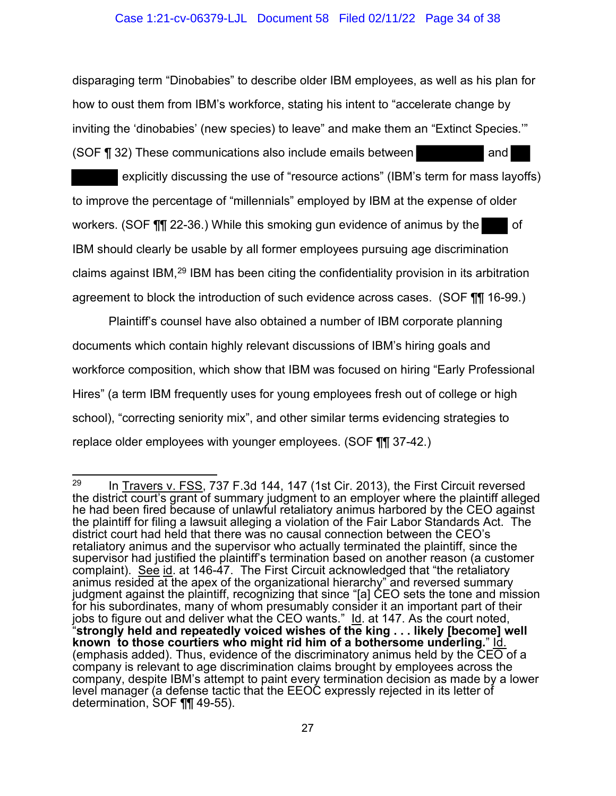#### Case 1:21-cv-06379-LJL Document 58 Filed 02/11/22 Page 34 of 38

disparaging term "Dinobabies" to describe older IBM employees, as well as his plan for how to oust them from IBM's workforce, stating his intent to "accelerate change by inviting the 'dinobabies' (new species) to leave" and make them an "Extinct Species.'" (SOF ¶ 32) These communications also include emails between and and

explicitly discussing the use of "resource actions" (IBM's term for mass layoffs) to improve the percentage of "millennials" employed by IBM at the expense of older workers. (SOF  $\P$  $\P$  22-36.) While this smoking gun evidence of animus by the of IBM should clearly be usable by all former employees pursuing age discrimination claims against IBM,[29](#page-33-0) IBM has been citing the confidentiality provision in its arbitration agreement to block the introduction of such evidence across cases. (SOF ¶¶ 16-99.)

Plaintiff's counsel have also obtained a number of IBM corporate planning documents which contain highly relevant discussions of IBM's hiring goals and workforce composition, which show that IBM was focused on hiring "Early Professional Hires" (a term IBM frequently uses for young employees fresh out of college or high school), "correcting seniority mix", and other similar terms evidencing strategies to replace older employees with younger employees. (SOF ¶¶ 37-42.)

<span id="page-33-0"></span><sup>&</sup>lt;sup>29</sup> In Travers v. FSS, 737 F.3d 144, 147 (1st Cir. 2013), the First Circuit reversed the district court's grant of summary judgment to an employer where the plaintiff alleged he had been fired because of unlawful retaliatory animus harbored by the CEO against the plaintiff for filing a lawsuit alleging a violation of the Fair Labor Standards Act. The district court had held that there was no causal connection between the CEO's retaliatory animus and the supervisor who actually terminated the plaintiff, since the supervisor had justified the plaintiff's termination based on another reason (a customer complaint). See id. at 146-47. The First Circuit acknowledged that "the retaliatory animus resided at the apex of the organizational hierarchy" and reversed summary judgment against the plaintiff, recognizing that since "[a] CEO sets the tone and mission for his subordinates, many of whom presumably consider it an important part of their jobs to figure out and deliver what the CEO wants." Id. at 147. As the court noted, "**strongly held and repeatedly voiced wishes of the king . . . likely [become] well known to those courtiers who might rid him of a bothersome underling.**" Id. (emphasis added). Thus, evidence of the discriminatory animus held by the  $\overline{CEO}$  of a company is relevant to age discrimination claims brought by employees across the company, despite IBM's attempt to paint every termination decision as made by a lower level manager (a defense tactic that the EEOC expressly rejected in its letter of determination, SOF ¶¶ 49-55).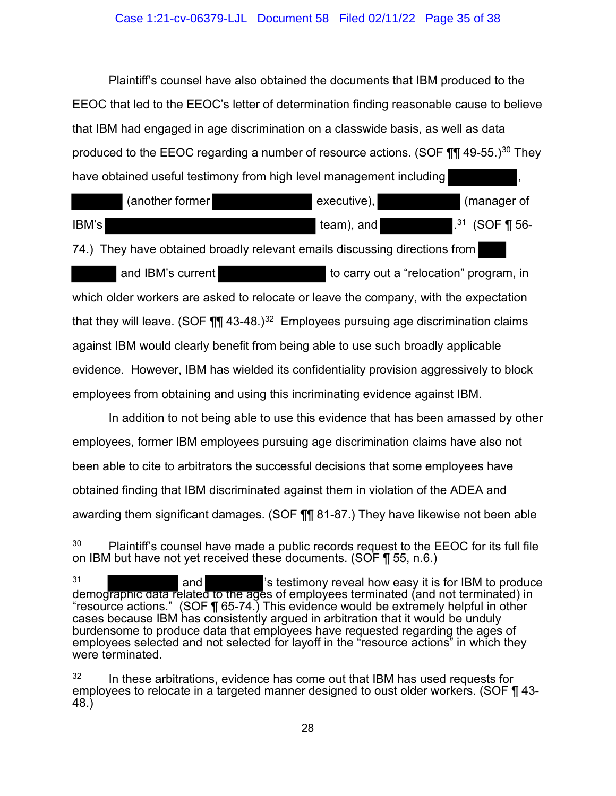#### Case 1:21-cv-06379-LJL Document 58 Filed 02/11/22 Page 35 of 38

Plaintiff's counsel have also obtained the documents that IBM produced to the EEOC that led to the EEOC's letter of determination finding reasonable cause to believe that IBM had engaged in age discrimination on a classwide basis, as well as data produced to the EEOC regarding a number of resource actions. (SOF  $\P$  $\P$  49-55.)<sup>[30](#page-34-0)</sup> They have obtained useful testimony from high level management including

|       | (another former | executive), | (manager of         |
|-------|-----------------|-------------|---------------------|
| IBM's |                 | team), and  | $1^{31}$ (SOF ¶ 56- |

74.) They have obtained broadly relevant emails discussing directions from

and IBM's current to carry out a "relocation" program, in which older workers are asked to relocate or leave the company, with the expectation that they will leave. (SOF  $\P\P$  43-48.)<sup>[32](#page-34-2)</sup> Employees pursuing age discrimination claims against IBM would clearly benefit from being able to use such broadly applicable evidence. However, IBM has wielded its confidentiality provision aggressively to block employees from obtaining and using this incriminating evidence against IBM.

In addition to not being able to use this evidence that has been amassed by other employees, former IBM employees pursuing age discrimination claims have also not been able to cite to arbitrators the successful decisions that some employees have obtained finding that IBM discriminated against them in violation of the ADEA and awarding them significant damages. (SOF ¶¶ 81-87.) They have likewise not been able

<span id="page-34-0"></span> $30$  Plaintiff's counsel have made a public records request to the EEOC for its full file on IBM but have not yet received these documents. (SOF ¶ 55, n.6.)

<span id="page-34-1"></span><sup>31</sup> and  $\blacksquare$  and  $\blacksquare$  's testimony reveal how easy it is for IBM to produce demographic data related to the ages of employees terminated (and not terminated) in "resource actions." (SOF ¶ 65-74.) This evidence would be extremely helpful in other cases because IBM has consistently argued in arbitration that it would be unduly burdensome to produce data that employees have requested regarding the ages of employees selected and not selected for layoff in the "resource actions" in which they were terminated.

<span id="page-34-2"></span> $32$  In these arbitrations, evidence has come out that IBM has used requests for employees to relocate in a targeted manner designed to oust older workers. (SOF ¶ 43-<br>48.)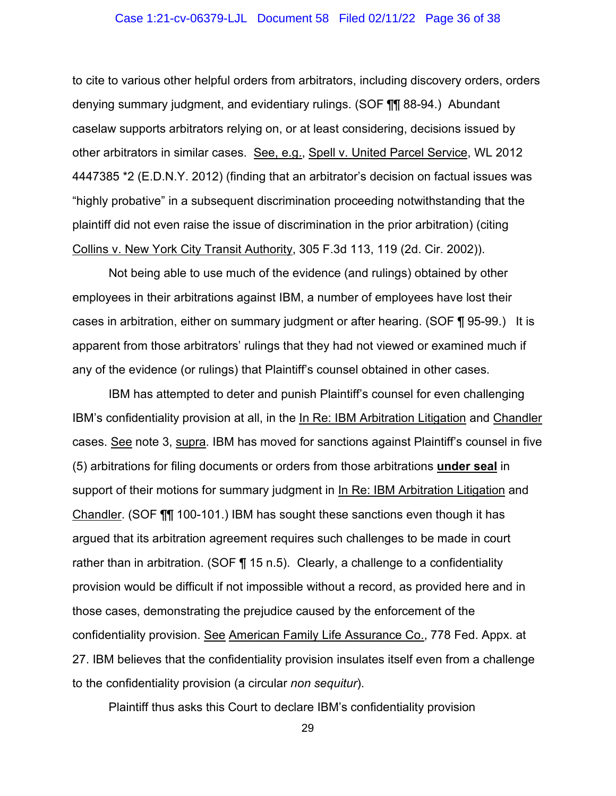#### Case 1:21-cv-06379-LJL Document 58 Filed 02/11/22 Page 36 of 38

to cite to various other helpful orders from arbitrators, including discovery orders, orders denying summary judgment, and evidentiary rulings. (SOF ¶¶ 88-94.) Abundant caselaw supports arbitrators relying on, or at least considering, decisions issued by other arbitrators in similar cases. See, e.g., Spell v. United Parcel Service, WL 2012 4447385 \*2 (E.D.N.Y. 2012) (finding that an arbitrator's decision on factual issues was "highly probative" in a subsequent discrimination proceeding notwithstanding that the plaintiff did not even raise the issue of discrimination in the prior arbitration) (citing Collins v. New York City Transit Authority, 305 F.3d 113, 119 (2d. Cir. 2002)).

Not being able to use much of the evidence (and rulings) obtained by other employees in their arbitrations against IBM, a number of employees have lost their cases in arbitration, either on summary judgment or after hearing. (SOF ¶ 95-99.) It is apparent from those arbitrators' rulings that they had not viewed or examined much if any of the evidence (or rulings) that Plaintiff's counsel obtained in other cases.

IBM has attempted to deter and punish Plaintiff's counsel for even challenging IBM's confidentiality provision at all, in the In Re: IBM Arbitration Litigation and Chandler cases. See note 3, supra. IBM has moved for sanctions against Plaintiff's counsel in five (5) arbitrations for filing documents or orders from those arbitrations **under seal** in support of their motions for summary judgment in In Re: IBM Arbitration Litigation and Chandler. (SOF ¶¶ 100-101.) IBM has sought these sanctions even though it has argued that its arbitration agreement requires such challenges to be made in court rather than in arbitration. (SOF ¶ 15 n.5). Clearly, a challenge to a confidentiality provision would be difficult if not impossible without a record, as provided here and in those cases, demonstrating the prejudice caused by the enforcement of the confidentiality provision. See American Family Life Assurance Co., 778 Fed. Appx. at 27. IBM believes that the confidentiality provision insulates itself even from a challenge to the confidentiality provision (a circular *non sequitur*).

Plaintiff thus asks this Court to declare IBM's confidentiality provision

29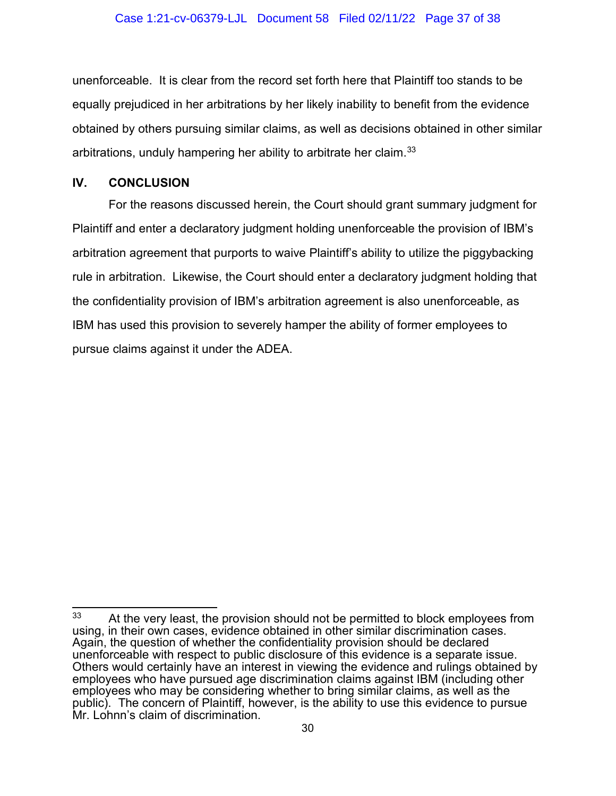unenforceable. It is clear from the record set forth here that Plaintiff too stands to be equally prejudiced in her arbitrations by her likely inability to benefit from the evidence obtained by others pursuing similar claims, as well as decisions obtained in other similar arbitrations, unduly hampering her ability to arbitrate her claim.<sup>[33](#page-36-1)</sup>

### <span id="page-36-0"></span>**IV. CONCLUSION**

For the reasons discussed herein, the Court should grant summary judgment for Plaintiff and enter a declaratory judgment holding unenforceable the provision of IBM's arbitration agreement that purports to waive Plaintiff's ability to utilize the piggybacking rule in arbitration. Likewise, the Court should enter a declaratory judgment holding that the confidentiality provision of IBM's arbitration agreement is also unenforceable, as IBM has used this provision to severely hamper the ability of former employees to pursue claims against it under the ADEA.

<span id="page-36-1"></span><sup>&</sup>lt;sup>33</sup> At the very least, the provision should not be permitted to block employees from using, in their own cases, evidence obtained in other similar discrimination cases. Again, the question of whether the confidentiality provision should be declared unenforceable with respect to public disclosure of this evidence is a separate issue. Others would certainly have an interest in viewing the evidence and rulings obtained by employees who have pursued age discrimination claims against IBM (including other employees who may be considering whether to bring similar claims, as well as the public). The concern of Plaintiff, however, is the ability to use this evidence to pursue Mr. Lohnn's claim of discrimination.